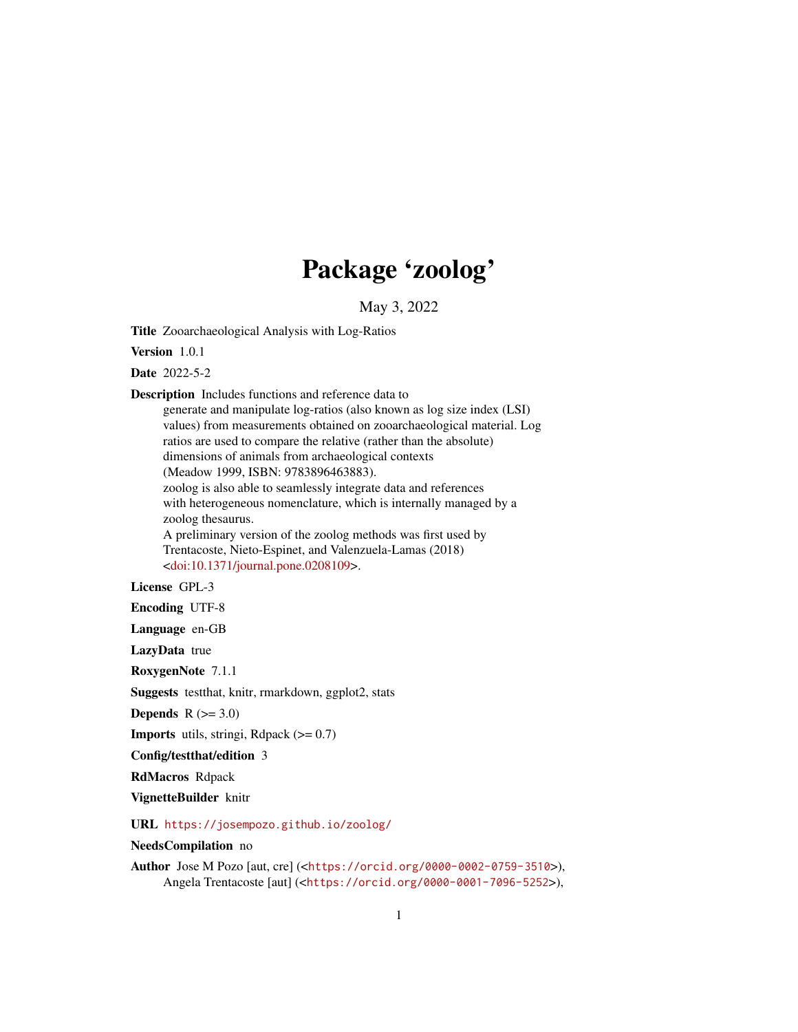## Package 'zoolog'

May 3, 2022

<span id="page-0-0"></span>Title Zooarchaeological Analysis with Log-Ratios

Version 1.0.1

Date 2022-5-2

Description Includes functions and reference data to

generate and manipulate log-ratios (also known as log size index (LSI) values) from measurements obtained on zooarchaeological material. Log ratios are used to compare the relative (rather than the absolute) dimensions of animals from archaeological contexts (Meadow 1999, ISBN: 9783896463883). zoolog is also able to seamlessly integrate data and references with heterogeneous nomenclature, which is internally managed by a zoolog thesaurus. A preliminary version of the zoolog methods was first used by Trentacoste, Nieto-Espinet, and Valenzuela-Lamas (2018) [<doi:10.1371/journal.pone.0208109>](https://doi.org/10.1371/journal.pone.0208109).

#### License GPL-3

Encoding UTF-8

Language en-GB

LazyData true

RoxygenNote 7.1.1

Suggests testthat, knitr, rmarkdown, ggplot2, stats

Depends  $R$  ( $>= 3.0$ )

**Imports** utils, stringi, Rdpack  $(>= 0.7)$ 

Config/testthat/edition 3

RdMacros Rdpack

VignetteBuilder knitr

URL <https://josempozo.github.io/zoolog/>

NeedsCompilation no

Author Jose M Pozo [aut, cre] (<<https://orcid.org/0000-0002-0759-3510>>), Angela Trentacoste [aut] (<<https://orcid.org/0000-0001-7096-5252>>),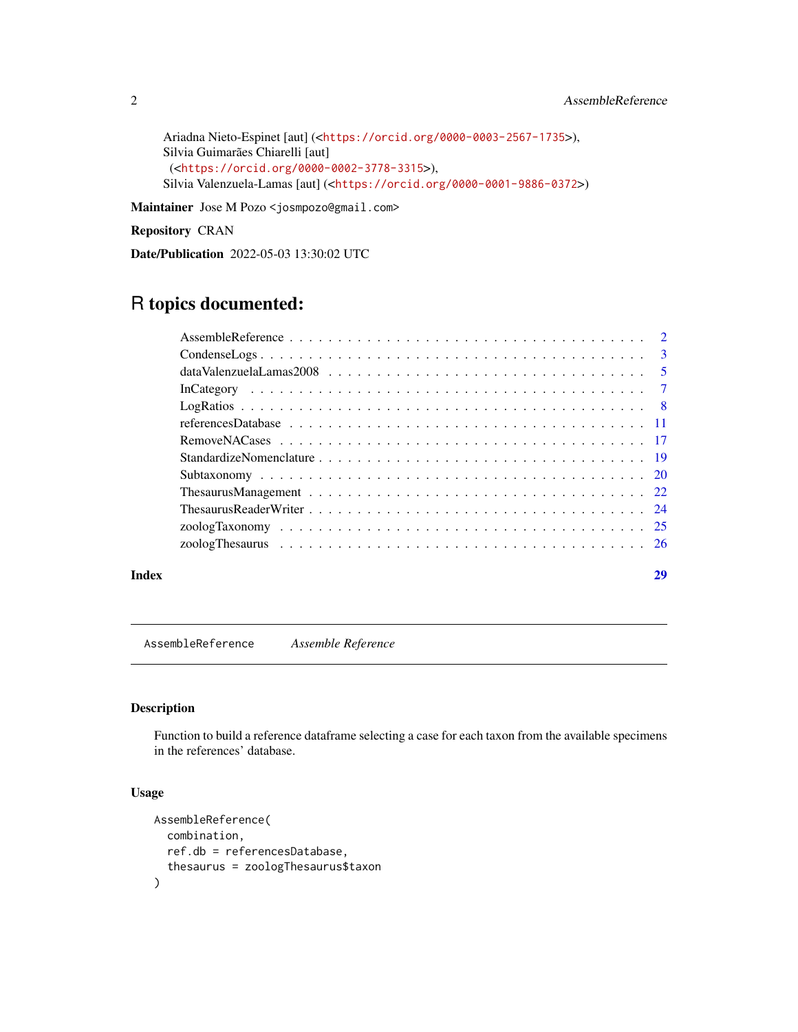```
Ariadna Nieto-Espinet [aut] (<https://orcid.org/0000-0003-2567-1735>),
Silvia Guimarães Chiarelli [aut]
(<https://orcid.org/0000-0002-3778-3315>),
Silvia Valenzuela-Lamas [aut] (<https://orcid.org/0000-0001-9886-0372>)
```
Maintainer Jose M Pozo <josmpozo@gmail.com>

Repository CRAN

Date/Publication 2022-05-03 13:30:02 UTC

### R topics documented:

#### **Index** [29](#page-28-0)

<span id="page-1-1"></span>AssembleReference *Assemble Reference*

#### Description

Function to build a reference dataframe selecting a case for each taxon from the available specimens in the references' database.

#### Usage

```
AssembleReference(
  combination,
  ref.db = referencesDatabase,
  thesaurus = zoologThesaurus$taxon
\mathcal{L}
```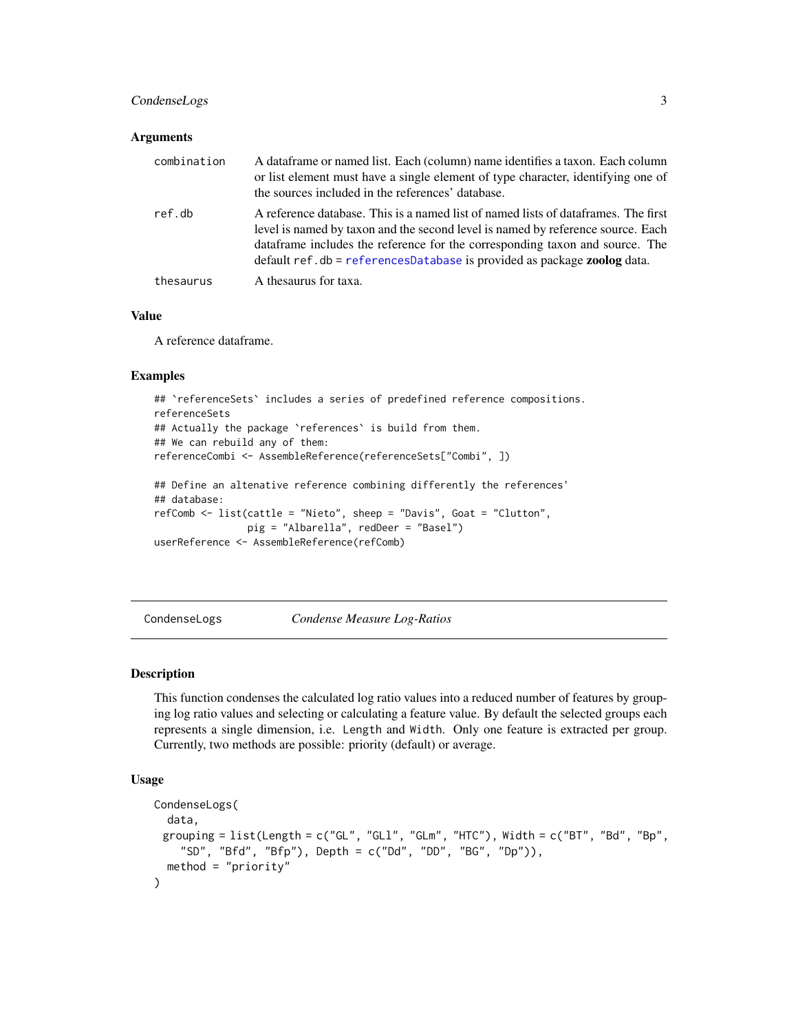#### <span id="page-2-0"></span>CondenseLogs 3

#### **Arguments**

| combination | A dataframe or named list. Each (column) name identifies a taxon. Each column<br>or list element must have a single element of type character, identifying one of<br>the sources included in the references' database.                                                                                                                          |
|-------------|-------------------------------------------------------------------------------------------------------------------------------------------------------------------------------------------------------------------------------------------------------------------------------------------------------------------------------------------------|
| ref.db      | A reference database. This is a named list of named lists of dataframes. The first<br>level is named by taxon and the second level is named by reference source. Each<br>data frame includes the reference for the corresponding taxon and source. The<br>default $ref$ . db = $ref$ erencesDatabase is provided as package <b>zoolog</b> data. |
| thesaurus   | A thesaurus for taxa.                                                                                                                                                                                                                                                                                                                           |

#### Value

A reference dataframe.

#### Examples

```
## `referenceSets` includes a series of predefined reference compositions.
referenceSets
## Actually the package `references` is build from them.
## We can rebuild any of them:
referenceCombi <- AssembleReference(referenceSets["Combi", ])
## Define an altenative reference combining differently the references'
## database:
refComb <- list(cattle = "Nieto", sheep = "Davis", Goat = "Clutton",
                pig = "Albarella", redDeer = "Basel")
userReference <- AssembleReference(refComb)
```
CondenseLogs *Condense Measure Log-Ratios*

#### Description

This function condenses the calculated log ratio values into a reduced number of features by grouping log ratio values and selecting or calculating a feature value. By default the selected groups each represents a single dimension, i.e. Length and Width. Only one feature is extracted per group. Currently, two methods are possible: priority (default) or average.

#### Usage

```
CondenseLogs(
 data,
 grouping = list(Length = c("GL", "GL", "GLm", "HTC"), width = c("BT", "B0", "Bp","SD", "Bfd", "Bfp"), Depth = c("Dd", "DD", "BG", "Dp")),
 method = "priority"
)
```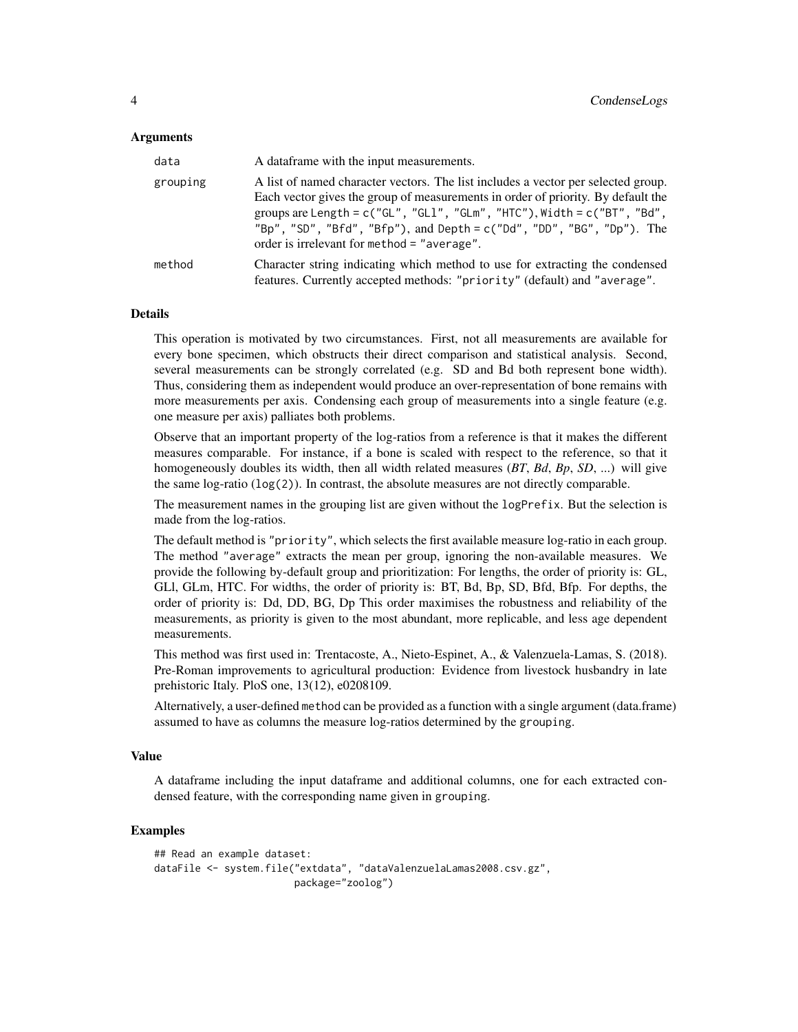#### **Arguments**

| data     | A data frame with the input measurements.                                                                                                                                                                                                                                                                                                                                           |
|----------|-------------------------------------------------------------------------------------------------------------------------------------------------------------------------------------------------------------------------------------------------------------------------------------------------------------------------------------------------------------------------------------|
| grouping | A list of named character vectors. The list includes a vector per selected group.<br>Each vector gives the group of measurements in order of priority. By default the<br>groups are Length = $c("GL", "GL1", "GLm", "HTC"), width = c("BT", "Bd",$<br>"Bp", "SD", "Bfd", "Bfp"), and Depth = $c('Dd'', 'DD'', 'BG'', 'Dp'')$ . The<br>order is irrelevant for method $=$ "average". |
| method   | Character string indicating which method to use for extracting the condensed<br>features. Currently accepted methods: "priority" (default) and "average".                                                                                                                                                                                                                           |

#### **Details**

This operation is motivated by two circumstances. First, not all measurements are available for every bone specimen, which obstructs their direct comparison and statistical analysis. Second, several measurements can be strongly correlated (e.g. SD and Bd both represent bone width). Thus, considering them as independent would produce an over-representation of bone remains with more measurements per axis. Condensing each group of measurements into a single feature (e.g. one measure per axis) palliates both problems.

Observe that an important property of the log-ratios from a reference is that it makes the different measures comparable. For instance, if a bone is scaled with respect to the reference, so that it homogeneously doubles its width, then all width related measures (*BT*, *Bd*, *Bp*, *SD*, ...) will give the same  $log-ratio (log(2))$ . In contrast, the absolute measures are not directly comparable.

The measurement names in the grouping list are given without the logPrefix. But the selection is made from the log-ratios.

The default method is "priority", which selects the first available measure log-ratio in each group. The method "average" extracts the mean per group, ignoring the non-available measures. We provide the following by-default group and prioritization: For lengths, the order of priority is: GL, GLl, GLm, HTC. For widths, the order of priority is: BT, Bd, Bp, SD, Bfd, Bfp. For depths, the order of priority is: Dd, DD, BG, Dp This order maximises the robustness and reliability of the measurements, as priority is given to the most abundant, more replicable, and less age dependent measurements.

This method was first used in: Trentacoste, A., Nieto-Espinet, A., & Valenzuela-Lamas, S. (2018). Pre-Roman improvements to agricultural production: Evidence from livestock husbandry in late prehistoric Italy. PloS one, 13(12), e0208109.

Alternatively, a user-defined method can be provided as a function with a single argument (data.frame) assumed to have as columns the measure log-ratios determined by the grouping.

#### Value

A dataframe including the input dataframe and additional columns, one for each extracted condensed feature, with the corresponding name given in grouping.

```
## Read an example dataset:
dataFile <- system.file("extdata", "dataValenzuelaLamas2008.csv.gz",
                       package="zoolog")
```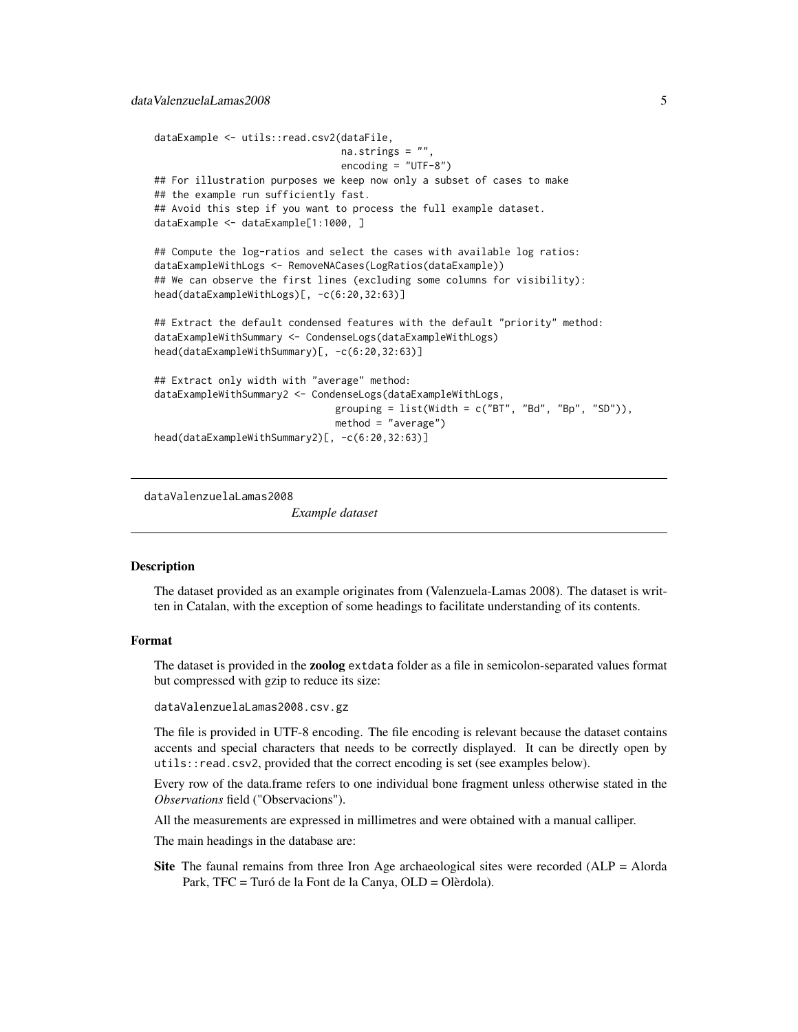```
dataExample <- utils::read.csv2(dataFile,
                                na.strings = ".
                                encoding = "UTF-8")
## For illustration purposes we keep now only a subset of cases to make
## the example run sufficiently fast.
## Avoid this step if you want to process the full example dataset.
dataExample <- dataExample[1:1000, ]
## Compute the log-ratios and select the cases with available log ratios:
dataExampleWithLogs <- RemoveNACases(LogRatios(dataExample))
## We can observe the first lines (excluding some columns for visibility):
head(dataExampleWithLogs)[, -c(6:20,32:63)]
## Extract the default condensed features with the default "priority" method:
dataExampleWithSummary <- CondenseLogs(dataExampleWithLogs)
head(dataExampleWithSummary)[, -c(6:20,32:63)]
## Extract only width with "average" method:
dataExampleWithSummary2 <- CondenseLogs(dataExampleWithLogs,
                               grouping = list(Width = c("BT", "Bd", "Bp", "SD")),
                               method = "average")
head(dataExampleWithSummary2)[, -c(6:20,32:63)]
```
dataValenzuelaLamas2008

*Example dataset*

#### Description

The dataset provided as an example originates from (Valenzuela-Lamas 2008). The dataset is written in Catalan, with the exception of some headings to facilitate understanding of its contents.

#### Format

The dataset is provided in the **zoolog** extdata folder as a file in semicolon-separated values format but compressed with gzip to reduce its size:

dataValenzuelaLamas2008.csv.gz

The file is provided in UTF-8 encoding. The file encoding is relevant because the dataset contains accents and special characters that needs to be correctly displayed. It can be directly open by utils::read.csv2, provided that the correct encoding is set (see examples below).

Every row of the data.frame refers to one individual bone fragment unless otherwise stated in the *Observations* field ("Observacions").

All the measurements are expressed in millimetres and were obtained with a manual calliper.

The main headings in the database are:

Site The faunal remains from three Iron Age archaeological sites were recorded (ALP = Alorda Park, TFC = Turó de la Font de la Canya, OLD = Olèrdola).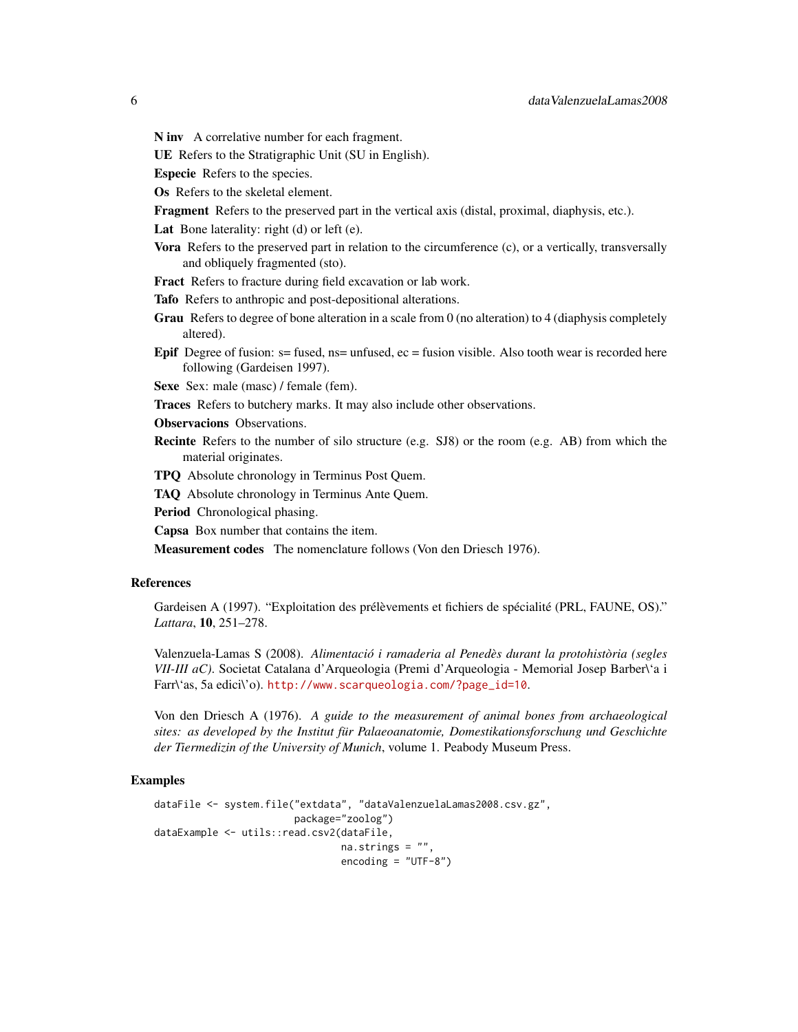N inv A correlative number for each fragment.

UE Refers to the Stratigraphic Unit (SU in English).

Especie Refers to the species.

- Os Refers to the skeletal element.
- Fragment Refers to the preserved part in the vertical axis (distal, proximal, diaphysis, etc.).

Lat Bone laterality: right (d) or left (e).

- Vora Refers to the preserved part in relation to the circumference (c), or a vertically, transversally and obliquely fragmented (sto).
- Fract Refers to fracture during field excavation or lab work.
- Tafo Refers to anthropic and post-depositional alterations.
- Grau Refers to degree of bone alteration in a scale from 0 (no alteration) to 4 (diaphysis completely altered).
- **Epif** Degree of fusion:  $s =$  fused,  $ns =$  unfused,  $ec =$  fusion visible. Also tooth wear is recorded here following (Gardeisen 1997).

Sexe Sex: male (masc) / female (fem).

Traces Refers to butchery marks. It may also include other observations.

Observacions Observations.

Recinte Refers to the number of silo structure (e.g. SJ8) or the room (e.g. AB) from which the material originates.

TPQ Absolute chronology in Terminus Post Quem.

TAQ Absolute chronology in Terminus Ante Quem.

Period Chronological phasing.

Capsa Box number that contains the item.

Measurement codes The nomenclature follows (Von den Driesch 1976).

#### References

Gardeisen A (1997). "Exploitation des prélèvements et fichiers de spécialité (PRL, FAUNE, OS)." *Lattara*, 10, 251–278.

Valenzuela-Lamas S (2008). *Alimentació i ramaderia al Penedès durant la protohistòria (segles VII-III aC)*. Societat Catalana d'Arqueologia (Premi d'Arqueologia - Memorial Josep Barber\'a i Farr\'as, 5a edici\'o). [http://www.scarqueologia.com/?page\\_id=10](http://www.scarqueologia.com/?page_id=10).

Von den Driesch A (1976). *A guide to the measurement of animal bones from archaeological sites: as developed by the Institut für Palaeoanatomie, Domestikationsforschung und Geschichte der Tiermedizin of the University of Munich*, volume 1. Peabody Museum Press.

```
dataFile <- system.file("extdata", "dataValenzuelaLamas2008.csv.gz",
                        package="zoolog")
dataExample <- utils::read.csv2(dataFile,
                                na.strings = "",
                                encoding = "UTF-8")
```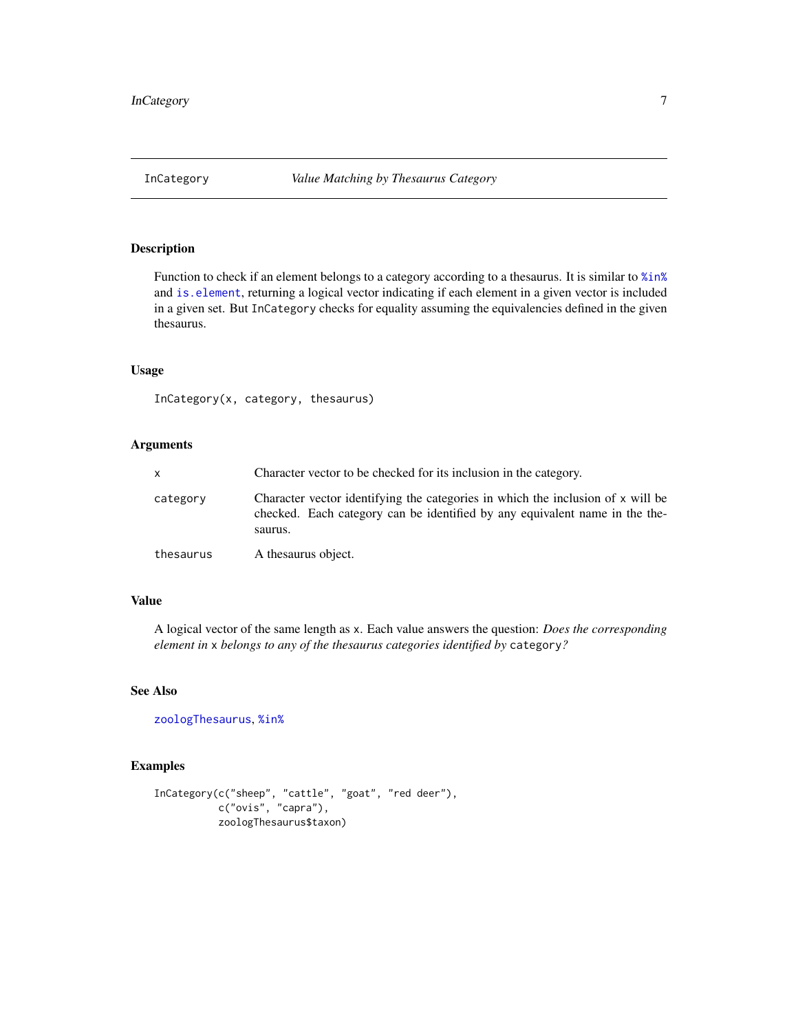<span id="page-6-0"></span>

#### Description

Function to check if an element belongs to a category according to a thesaurus. It is similar to  $%i$ n% and [is.element](#page-0-0), returning a logical vector indicating if each element in a given vector is included in a given set. But InCategory checks for equality assuming the equivalencies defined in the given thesaurus.

#### Usage

InCategory(x, category, thesaurus)

#### Arguments

| x.        | Character vector to be checked for its inclusion in the category.                                                                                                         |  |  |  |
|-----------|---------------------------------------------------------------------------------------------------------------------------------------------------------------------------|--|--|--|
| category  | Character vector identifying the categories in which the inclusion of x will be<br>checked. Each category can be identified by any equivalent name in the the-<br>saurus. |  |  |  |
| thesaurus | A thesaurus object.                                                                                                                                                       |  |  |  |

#### Value

A logical vector of the same length as x. Each value answers the question: *Does the corresponding element in* x *belongs to any of the thesaurus categories identified by* category*?*

#### See Also

[zoologThesaurus](#page-25-1), [%in%](#page-0-0)

```
InCategory(c("sheep", "cattle", "goat", "red deer"),
           c("ovis", "capra"),
          zoologThesaurus$taxon)
```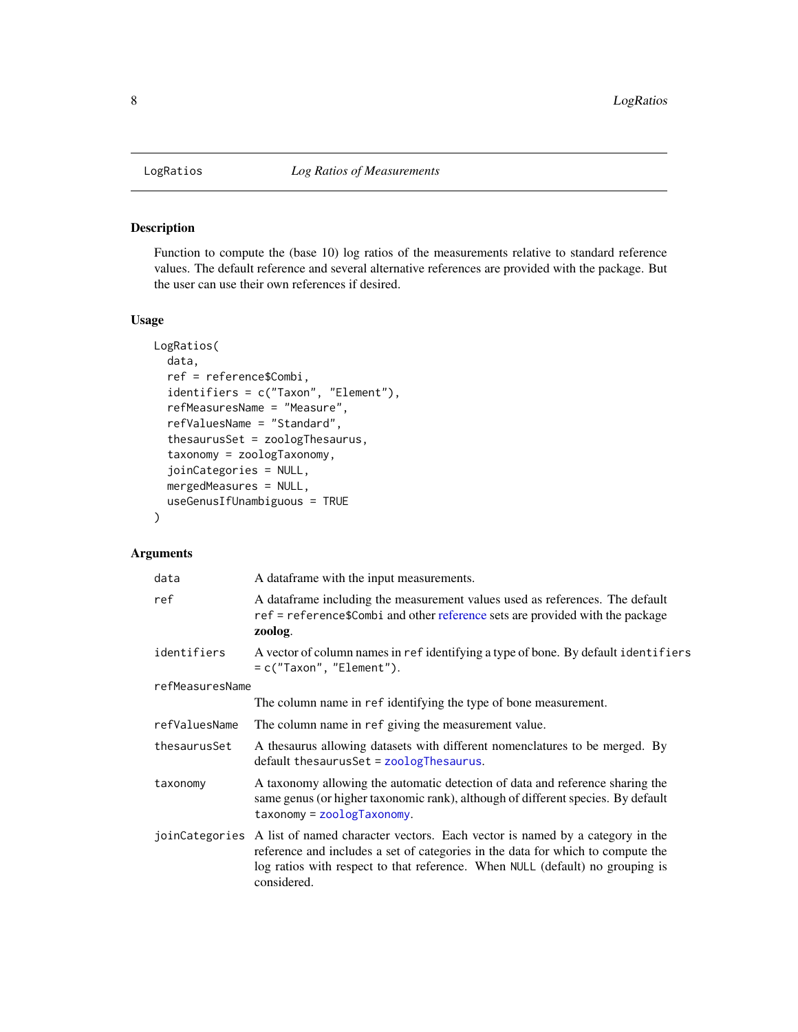<span id="page-7-1"></span><span id="page-7-0"></span>

#### Description

Function to compute the (base 10) log ratios of the measurements relative to standard reference values. The default reference and several alternative references are provided with the package. But the user can use their own references if desired.

#### Usage

```
LogRatios(
  data,
  ref = reference$Combi,
  identifiers = c("Taxon", "Element"),
  refMeasuresName = "Measure",
  refValuesName = "Standard",
  thesaurusSet = zoologThesaurus,
  taxonomy = zoologTaxonomy,
  joinCategories = NULL,
  mergedMeasures = NULL,
  useGenusIfUnambiguous = TRUE
\mathcal{L}
```
#### Arguments

| data            | A data frame with the input measurements.                                                                                                                                                                                                                       |  |  |  |  |
|-----------------|-----------------------------------------------------------------------------------------------------------------------------------------------------------------------------------------------------------------------------------------------------------------|--|--|--|--|
| ref             | A data frame including the measurement values used as references. The default<br>ref = reference\$Combi and other reference sets are provided with the package<br>zoolog.                                                                                       |  |  |  |  |
| identifiers     | A vector of column names in ref identifying a type of bone. By default identifiers<br>$= c("Taxon", "Element").$                                                                                                                                                |  |  |  |  |
| refMeasuresName |                                                                                                                                                                                                                                                                 |  |  |  |  |
|                 | The column name in ref identifying the type of bone measurement.                                                                                                                                                                                                |  |  |  |  |
| refValuesName   | The column name in ref giving the measurement value.                                                                                                                                                                                                            |  |  |  |  |
| thesaurusSet    | A thesaurus allowing datasets with different nomenclatures to be merged. By<br>default thesaurusSet = zoologThesaurus.                                                                                                                                          |  |  |  |  |
| taxonomy        | A taxonomy allowing the automatic detection of data and reference sharing the<br>same genus (or higher taxonomic rank), although of different species. By default<br>$taxonomy = zoologyTaxonomy.$                                                              |  |  |  |  |
| joinCategories  | A list of named character vectors. Each vector is named by a category in the<br>reference and includes a set of categories in the data for which to compute the<br>log ratios with respect to that reference. When NULL (default) no grouping is<br>considered. |  |  |  |  |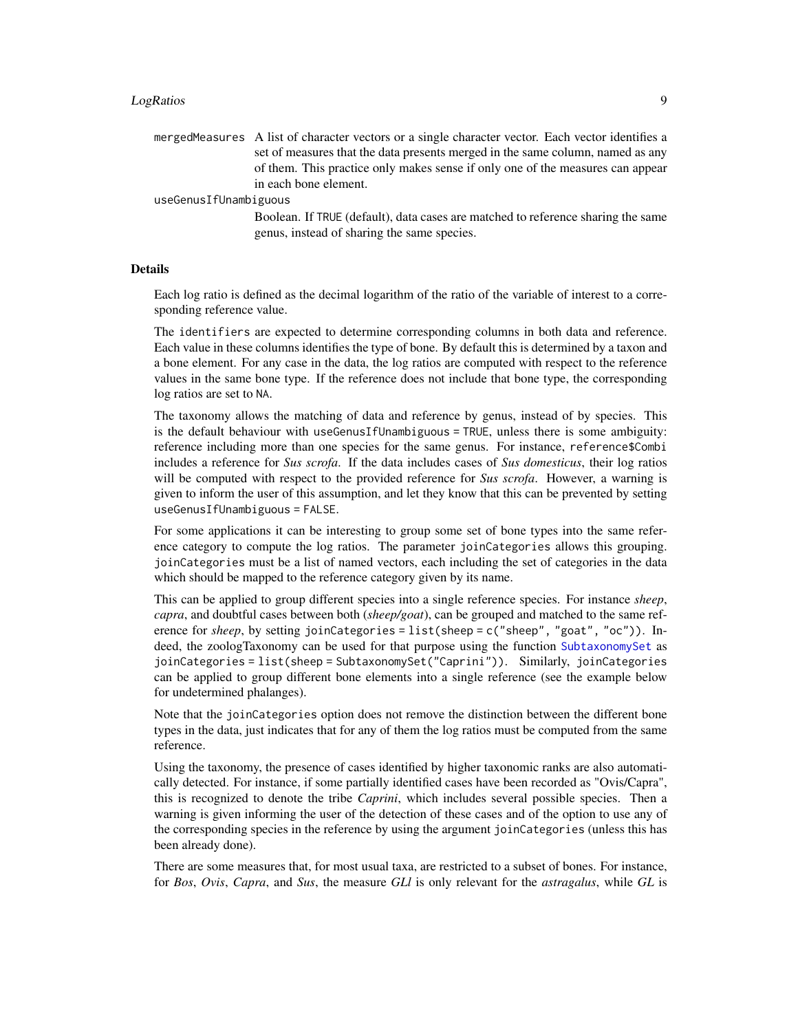#### <span id="page-8-0"></span>LogRatios 9

mergedMeasures A list of character vectors or a single character vector. Each vector identifies a set of measures that the data presents merged in the same column, named as any of them. This practice only makes sense if only one of the measures can appear in each bone element.

#### useGenusIfUnambiguous

Boolean. If TRUE (default), data cases are matched to reference sharing the same genus, instead of sharing the same species.

#### Details

Each log ratio is defined as the decimal logarithm of the ratio of the variable of interest to a corresponding reference value.

The identifiers are expected to determine corresponding columns in both data and reference. Each value in these columns identifies the type of bone. By default this is determined by a taxon and a bone element. For any case in the data, the log ratios are computed with respect to the reference values in the same bone type. If the reference does not include that bone type, the corresponding log ratios are set to NA.

The taxonomy allows the matching of data and reference by genus, instead of by species. This is the default behaviour with useGenusIfUnambiguous = TRUE, unless there is some ambiguity: reference including more than one species for the same genus. For instance, reference\$Combi includes a reference for *Sus scrofa*. If the data includes cases of *Sus domesticus*, their log ratios will be computed with respect to the provided reference for *Sus scrofa*. However, a warning is given to inform the user of this assumption, and let they know that this can be prevented by setting useGenusIfUnambiguous = FALSE.

For some applications it can be interesting to group some set of bone types into the same reference category to compute the log ratios. The parameter joinCategories allows this grouping. joinCategories must be a list of named vectors, each including the set of categories in the data which should be mapped to the reference category given by its name.

This can be applied to group different species into a single reference species. For instance *sheep*, *capra*, and doubtful cases between both (*sheep/goat*), can be grouped and matched to the same reference for *sheep*, by setting joinCategories = list(sheep = c("sheep", "goat", "oc")). In-deed, the zoologTaxonomy can be used for that purpose using the function [SubtaxonomySet](#page-19-1) as joinCategories = list(sheep = SubtaxonomySet("Caprini")). Similarly, joinCategories can be applied to group different bone elements into a single reference (see the example below for undetermined phalanges).

Note that the joinCategories option does not remove the distinction between the different bone types in the data, just indicates that for any of them the log ratios must be computed from the same reference.

Using the taxonomy, the presence of cases identified by higher taxonomic ranks are also automatically detected. For instance, if some partially identified cases have been recorded as "Ovis/Capra", this is recognized to denote the tribe *Caprini*, which includes several possible species. Then a warning is given informing the user of the detection of these cases and of the option to use any of the corresponding species in the reference by using the argument joinCategories (unless this has been already done).

There are some measures that, for most usual taxa, are restricted to a subset of bones. For instance, for *Bos*, *Ovis*, *Capra*, and *Sus*, the measure *GLl* is only relevant for the *astragalus*, while *GL* is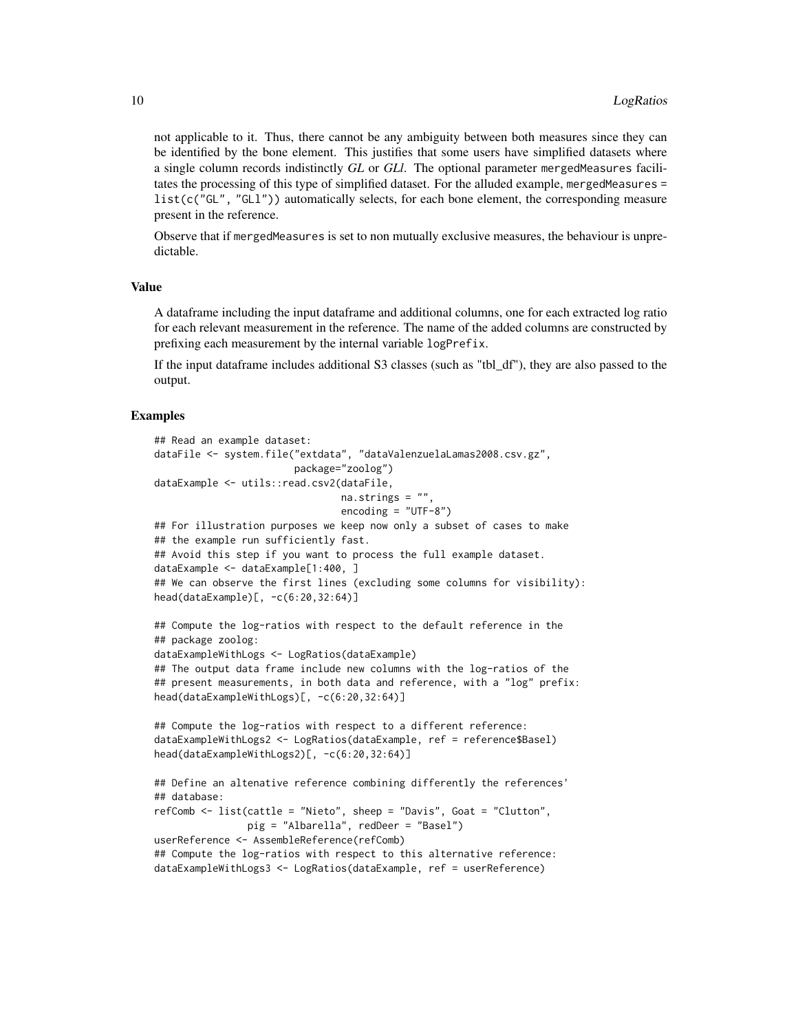not applicable to it. Thus, there cannot be any ambiguity between both measures since they can be identified by the bone element. This justifies that some users have simplified datasets where a single column records indistinctly *GL* or *GLl*. The optional parameter mergedMeasures facilitates the processing of this type of simplified dataset. For the alluded example, mergedMeasures =  $list(c("GL", "GL")$ ) automatically selects, for each bone element, the corresponding measure present in the reference.

Observe that if mergedMeasures is set to non mutually exclusive measures, the behaviour is unpredictable.

#### Value

A dataframe including the input dataframe and additional columns, one for each extracted log ratio for each relevant measurement in the reference. The name of the added columns are constructed by prefixing each measurement by the internal variable logPrefix.

If the input dataframe includes additional S3 classes (such as "tbl\_df"), they are also passed to the output.

```
## Read an example dataset:
dataFile <- system.file("extdata", "dataValenzuelaLamas2008.csv.gz",
                        package="zoolog")
dataExample <- utils::read.csv2(dataFile,
                                na.strings = ",
                                encoding = "UTF-8")
## For illustration purposes we keep now only a subset of cases to make
## the example run sufficiently fast.
## Avoid this step if you want to process the full example dataset.
dataExample <- dataExample[1:400, ]
## We can observe the first lines (excluding some columns for visibility):
head(dataExample)[, -c(6:20,32:64)]
## Compute the log-ratios with respect to the default reference in the
## package zoolog:
dataExampleWithLogs <- LogRatios(dataExample)
## The output data frame include new columns with the log-ratios of the
## present measurements, in both data and reference, with a "log" prefix:
head(dataExampleWithLogs)[, -c(6:20,32:64)]
## Compute the log-ratios with respect to a different reference:
dataExampleWithLogs2 <- LogRatios(dataExample, ref = reference$Basel)
head(dataExampleWithLogs2)[, -c(6:20,32:64)]
## Define an altenative reference combining differently the references'
## database:
refComb <- list(cattle = "Nieto", sheep = "Davis", Goat = "Clutton",
               pig = "Albarella", redDeer = "Basel")
userReference <- AssembleReference(refComb)
## Compute the log-ratios with respect to this alternative reference:
dataExampleWithLogs3 <- LogRatios(dataExample, ref = userReference)
```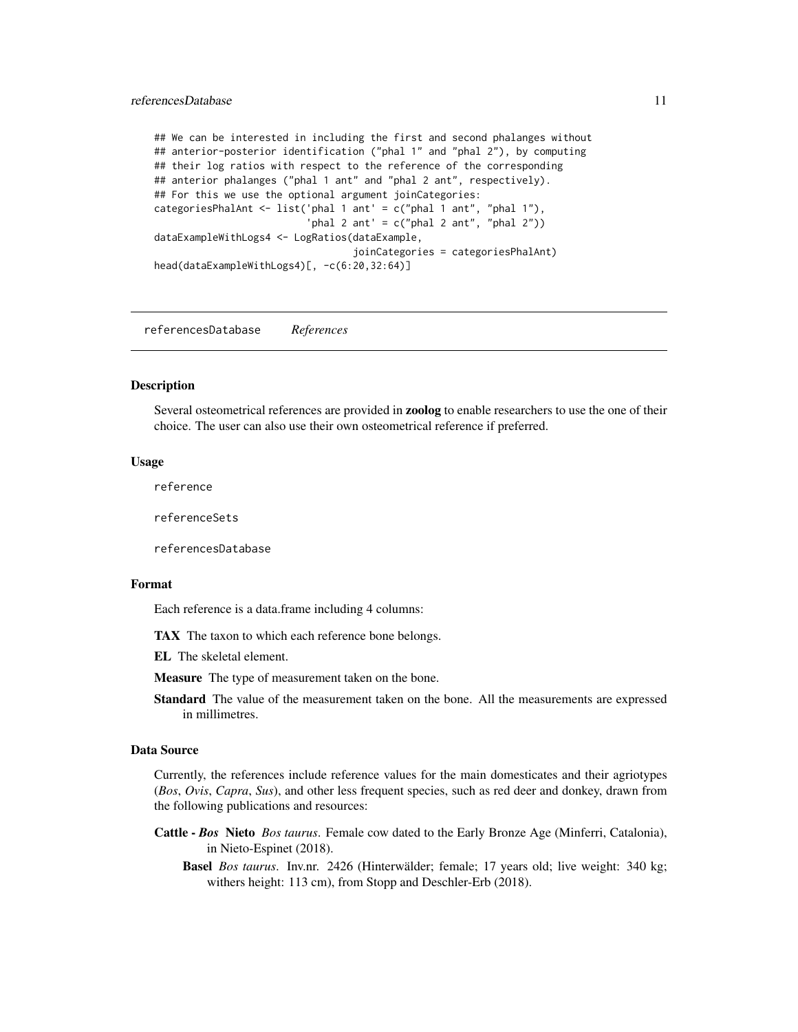#### <span id="page-10-0"></span>referencesDatabase 11

## We can be interested in including the first and second phalanges without ## anterior-posterior identification ("phal 1" and "phal 2"), by computing ## their log ratios with respect to the reference of the corresponding ## anterior phalanges ("phal 1 ant" and "phal 2 ant", respectively). ## For this we use the optional argument joinCategories: categoriesPhalAnt <- list('phal 1 ant' = c("phal 1 ant", "phal 1"), 'phal 2 ant' =  $c("phal 2 ant", "phal 2"))$ dataExampleWithLogs4 <- LogRatios(dataExample, joinCategories = categoriesPhalAnt) head(dataExampleWithLogs4)[, -c(6:20,32:64)]

<span id="page-10-1"></span>referencesDatabase *References*

#### <span id="page-10-2"></span>**Description**

Several osteometrical references are provided in zoolog to enable researchers to use the one of their choice. The user can also use their own osteometrical reference if preferred.

#### Usage

reference

referenceSets

referencesDatabase

#### Format

Each reference is a data.frame including 4 columns:

TAX The taxon to which each reference bone belongs.

EL The skeletal element.

Measure The type of measurement taken on the bone.

Standard The value of the measurement taken on the bone. All the measurements are expressed in millimetres.

#### Data Source

Currently, the references include reference values for the main domesticates and their agriotypes (*Bos*, *Ovis*, *Capra*, *Sus*), and other less frequent species, such as red deer and donkey, drawn from the following publications and resources:

- Cattle *Bos* Nieto *Bos taurus*. Female cow dated to the Early Bronze Age (Minferri, Catalonia), in Nieto-Espinet (2018).
	- Basel *Bos taurus*. Inv.nr. 2426 (Hinterwälder; female; 17 years old; live weight: 340 kg; withers height: 113 cm), from Stopp and Deschler-Erb (2018).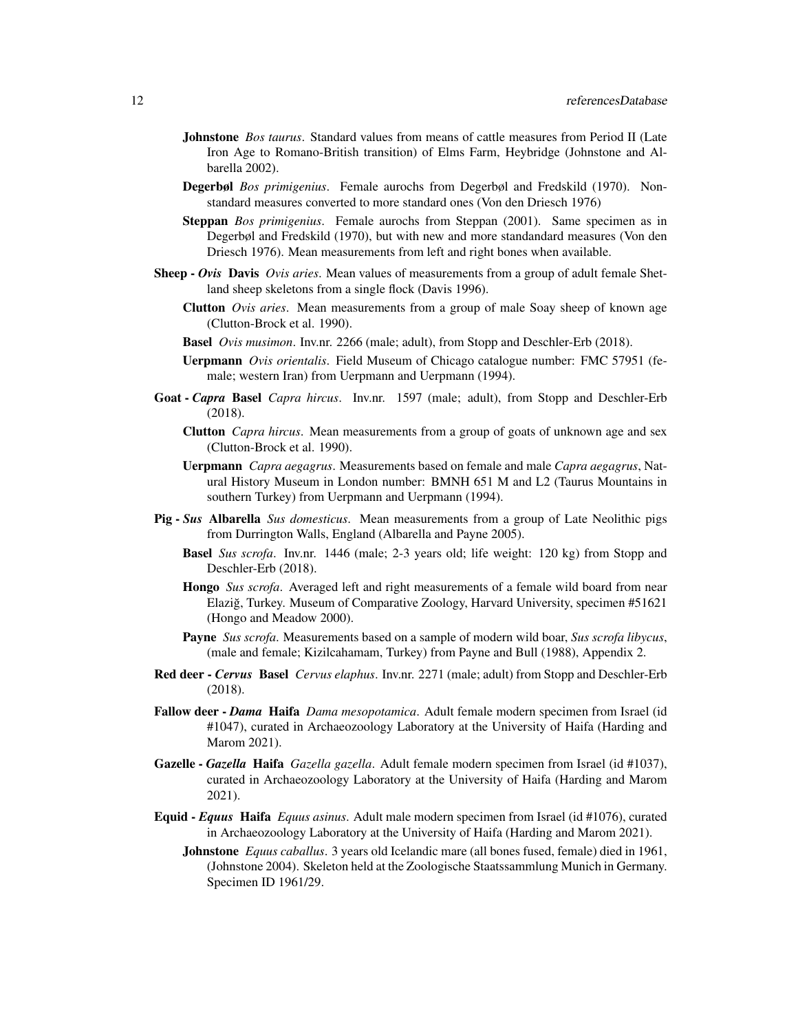- Johnstone *Bos taurus*. Standard values from means of cattle measures from Period II (Late Iron Age to Romano-British transition) of Elms Farm, Heybridge (Johnstone and Albarella 2002).
- Degerbøl *Bos primigenius*. Female aurochs from Degerbøl and Fredskild (1970). Nonstandard measures converted to more standard ones (Von den Driesch 1976)
- Steppan *Bos primigenius*. Female aurochs from Steppan (2001). Same specimen as in Degerbøl and Fredskild (1970), but with new and more standandard measures (Von den Driesch 1976). Mean measurements from left and right bones when available.
- Sheep *Ovis* Davis *Ovis aries*. Mean values of measurements from a group of adult female Shetland sheep skeletons from a single flock (Davis 1996).
	- Clutton *Ovis aries*. Mean measurements from a group of male Soay sheep of known age (Clutton-Brock et al. 1990).
	- Basel *Ovis musimon*. Inv.nr. 2266 (male; adult), from Stopp and Deschler-Erb (2018).
	- Uerpmann *Ovis orientalis*. Field Museum of Chicago catalogue number: FMC 57951 (female; western Iran) from Uerpmann and Uerpmann (1994).
- Goat *Capra* Basel *Capra hircus*. Inv.nr. 1597 (male; adult), from Stopp and Deschler-Erb (2018).
	- Clutton *Capra hircus*. Mean measurements from a group of goats of unknown age and sex (Clutton-Brock et al. 1990).
	- Uerpmann *Capra aegagrus*. Measurements based on female and male *Capra aegagrus*, Natural History Museum in London number: BMNH 651 M and L2 (Taurus Mountains in southern Turkey) from Uerpmann and Uerpmann (1994).
- Pig *Sus* Albarella *Sus domesticus*. Mean measurements from a group of Late Neolithic pigs from Durrington Walls, England (Albarella and Payne 2005).
	- Basel *Sus scrofa*. Inv.nr. 1446 (male; 2-3 years old; life weight: 120 kg) from Stopp and Deschler-Erb (2018).
	- Hongo *Sus scrofa*. Averaged left and right measurements of a female wild board from near Elazig, Turkey. Museum of Comparative Zoology, Harvard University, specimen #51621 ˘ (Hongo and Meadow 2000).
	- Payne *Sus scrofa*. Measurements based on a sample of modern wild boar, *Sus scrofa libycus*, (male and female; Kizilcahamam, Turkey) from Payne and Bull (1988), Appendix 2.
- Red deer *Cervus* Basel *Cervus elaphus*. Inv.nr. 2271 (male; adult) from Stopp and Deschler-Erb (2018).
- Fallow deer *Dama* Haifa *Dama mesopotamica*. Adult female modern specimen from Israel (id #1047), curated in Archaeozoology Laboratory at the University of Haifa (Harding and Marom 2021).
- Gazelle *Gazella* Haifa *Gazella gazella*. Adult female modern specimen from Israel (id #1037), curated in Archaeozoology Laboratory at the University of Haifa (Harding and Marom 2021).
- Equid *Equus* Haifa *Equus asinus*. Adult male modern specimen from Israel (id #1076), curated in Archaeozoology Laboratory at the University of Haifa (Harding and Marom 2021).
	- Johnstone *Equus caballus*. 3 years old Icelandic mare (all bones fused, female) died in 1961, (Johnstone 2004). Skeleton held at the Zoologische Staatssammlung Munich in Germany. Specimen ID 1961/29.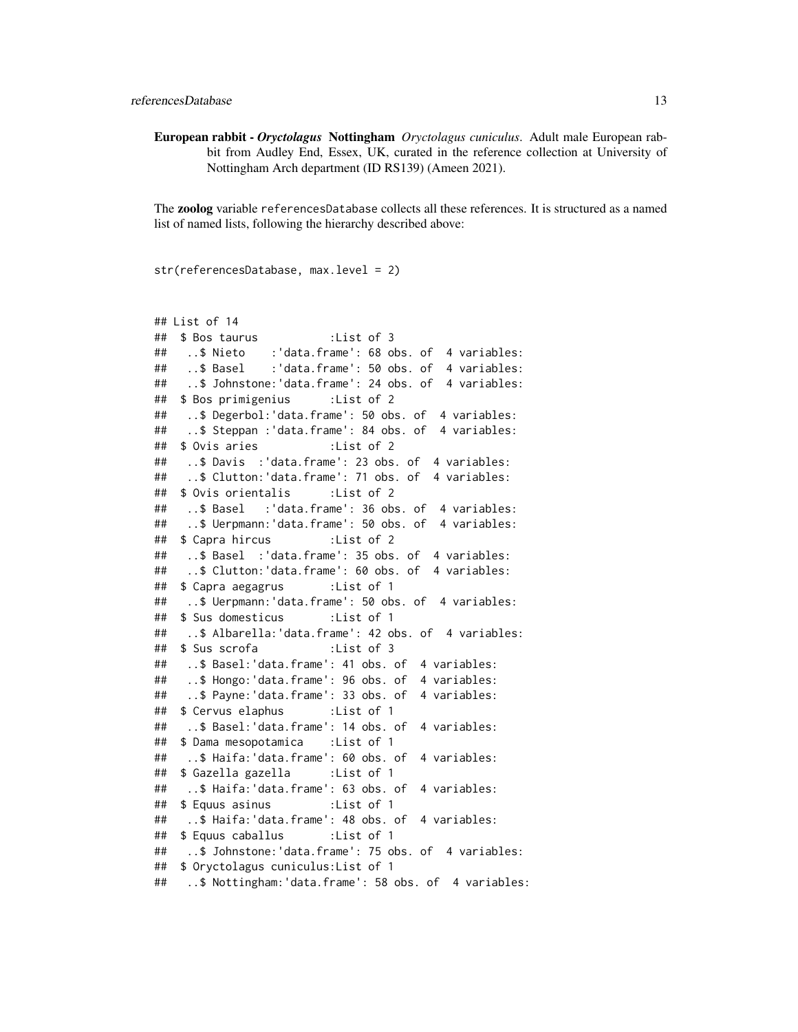European rabbit - *Oryctolagus* Nottingham *Oryctolagus cuniculus*. Adult male European rabbit from Audley End, Essex, UK, curated in the reference collection at University of Nottingham Arch department (ID RS139) (Ameen 2021).

The zoolog variable referencesDatabase collects all these references. It is structured as a named list of named lists, following the hierarchy described above:

str(referencesDatabase, max.level = 2)

```
## List of 14
## $ Bos taurus :List of 3
## ..$ Nieto :'data.frame': 68 obs. of 4 variables:
## ..$ Basel :'data.frame': 50 obs. of 4 variables:
## ..$ Johnstone:'data.frame': 24 obs. of 4 variables:
## $ Bos primigenius :List of 2
## ..$ Degerbol:'data.frame': 50 obs. of 4 variables:
## ..$ Steppan :'data.frame': 84 obs. of 4 variables:
## $ Ovis aries :List of 2
## ..$ Davis :'data.frame': 23 obs. of 4 variables:
## ..$ Clutton:'data.frame': 71 obs. of 4 variables:
## $ Ovis orientalis :List of 2
## ..$ Basel :'data.frame': 36 obs. of 4 variables:
## ..$ Uerpmann:'data.frame': 50 obs. of 4 variables:
## $ Capra hircus :List of 2
## ..$ Basel :'data.frame': 35 obs. of 4 variables:
## ..$ Clutton:'data.frame': 60 obs. of 4 variables:
## $ Capra aegagrus :List of 1
## ..$ Uerpmann:'data.frame': 50 obs. of 4 variables:
## $ Sus domesticus :List of 1
## ..$ Albarella:'data.frame': 42 obs. of 4 variables:
## $ Sus scrofa :List of 3
## ..$ Basel:'data.frame': 41 obs. of 4 variables:
## ..$ Hongo:'data.frame': 96 obs. of 4 variables:
## ..$ Payne:'data.frame': 33 obs. of 4 variables:
## $ Cervus elaphus :List of 1
## ..$ Basel:'data.frame': 14 obs. of 4 variables:
## $ Dama mesopotamica :List of 1
## ..$ Haifa:'data.frame': 60 obs. of 4 variables:
## $ Gazella gazella :List of 1
## ..$ Haifa:'data.frame': 63 obs. of 4 variables:
## $ Equus asinus :List of 1
## ..$ Haifa:'data.frame': 48 obs. of 4 variables:
## $ Equus caballus :List of 1
## ..$ Johnstone:'data.frame': 75 obs. of 4 variables:
## $ Oryctolagus cuniculus:List of 1
## ..$ Nottingham:'data.frame': 58 obs. of 4 variables:
```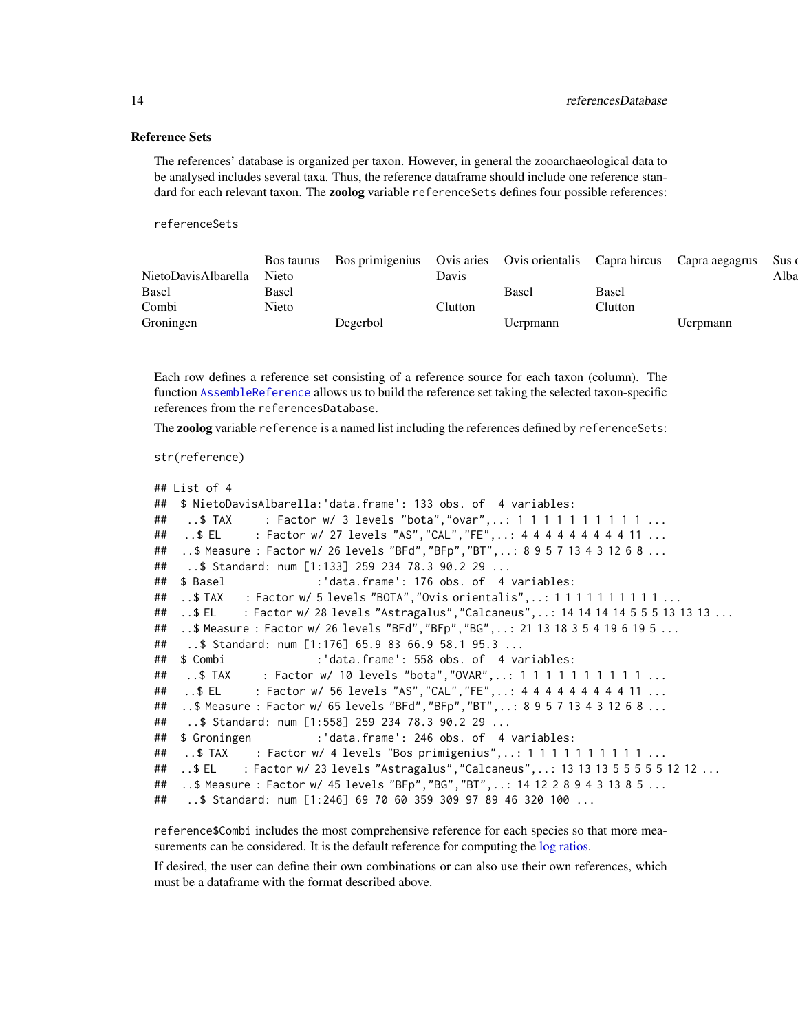#### <span id="page-13-0"></span>Reference Sets

The references' database is organized per taxon. However, in general the zooarchaeological data to be analysed includes several taxa. Thus, the reference dataframe should include one reference standard for each relevant taxon. The **zoolog** variable reference Sets defines four possible references:

referenceSets

|                           |                       | Bos taurus Bos primigenius Ovis aries Ovis orientalis Capra hircus Capra aegagrus Sus |                                      |          |         |          |      |
|---------------------------|-----------------------|---------------------------------------------------------------------------------------|--------------------------------------|----------|---------|----------|------|
| NietoDavisAlbarella Nieto |                       |                                                                                       | Davis                                |          |         |          | Alba |
| <b>Basel</b>              | Base!                 |                                                                                       |                                      | Basel    | Base.   |          |      |
| Combi                     | $\mathbf{r}$<br>Nieto |                                                                                       | $\mathop{\mathrm{l}}\nolimits$ utton |          | Clutton |          |      |
| Groningen                 |                       | Degerbol                                                                              |                                      | Uerpmann |         | Uerpmann |      |

Each row defines a reference set consisting of a reference source for each taxon (column). The function [AssembleReference](#page-1-1) allows us to build the reference set taking the selected taxon-specific references from the referencesDatabase.

The zoolog variable reference is a named list including the references defined by referenceSets:

```
str(reference)
```

```
## List of 4
## $ NietoDavisAlbarella:'data.frame': 133 obs. of 4 variables:
## ..$ TAX : Factor w/ 3 levels "bota","ovar",..: 1 1 1 1 1 1 1 1 1 1 ...
## ..$ EL : Factor w/ 27 levels "AS","CAL","FE",..: 4 4 4 4 4 4 4 4 4 11 ...
## ..$ Measure : Factor w/ 26 levels "BFd","BFp","BT",..: 8 9 5 7 13 4 3 12 6 8 ...
## ..$ Standard: num [1:133] 259 234 78.3 90.2 29 ...
## $ Basel :'data.frame': 176 obs. of 4 variables:
## ..$TAX : Factor w/ 5 levels "BOTA", "Ovis orientalis",..: 1 1 1 1 1 1 1 1 1 1 ...
## ..$ EL : Factor w/ 28 levels "Astragalus","Calcaneus",..: 14 14 14 14 5 5 5 13 13 13 ...
## ..$ Measure : Factor w/ 26 levels "BFd","BFp","BG",..: 21 13 18 3 5 4 19 6 19 5 ...
## ..$ Standard: num [1:176] 65.9 83 66.9 58.1 95.3 ...
## $ Combi :'data.frame': 558 obs. of 4 variables:
## ..$ TAX : Factor w/ 10 levels "bota","OVAR",..: 1 1 1 1 1 1 1 1 1 1 ...
## ..$ EL : Factor w/ 56 levels "AS","CAL","FE",..: 4 4 4 4 4 4 4 4 4 11 ...
## ..$ Measure : Factor w/ 65 levels "BFd","BFp","BT",..: 8 9 5 7 13 4 3 12 6 8 ...
## ..$ Standard: num [1:558] 259 234 78.3 90.2 29 ...
## $ Groningen :'data.frame': 246 obs. of 4 variables:
## ..$ TAX : Factor w/ 4 levels "Bos primigenius",..: 1 1 1 1 1 1 1 1 1 1 ...
## ..$ EL : Factor w/ 23 levels "Astragalus","Calcaneus",..: 13 13 13 5 5 5 5 5 12 12 ...
## ..$ Measure : Factor w/ 45 levels "BFp","BG","BT",..: 14 12 2 8 9 4 3 13 8 5 ...
## ..$ Standard: num [1:246] 69 70 60 359 309 97 89 46 320 100 ...
```
reference\$Combi includes the most comprehensive reference for each species so that more measurements can be considered. It is the default reference for computing the [log ratios.](#page-7-1)

If desired, the user can define their own combinations or can also use their own references, which must be a dataframe with the format described above.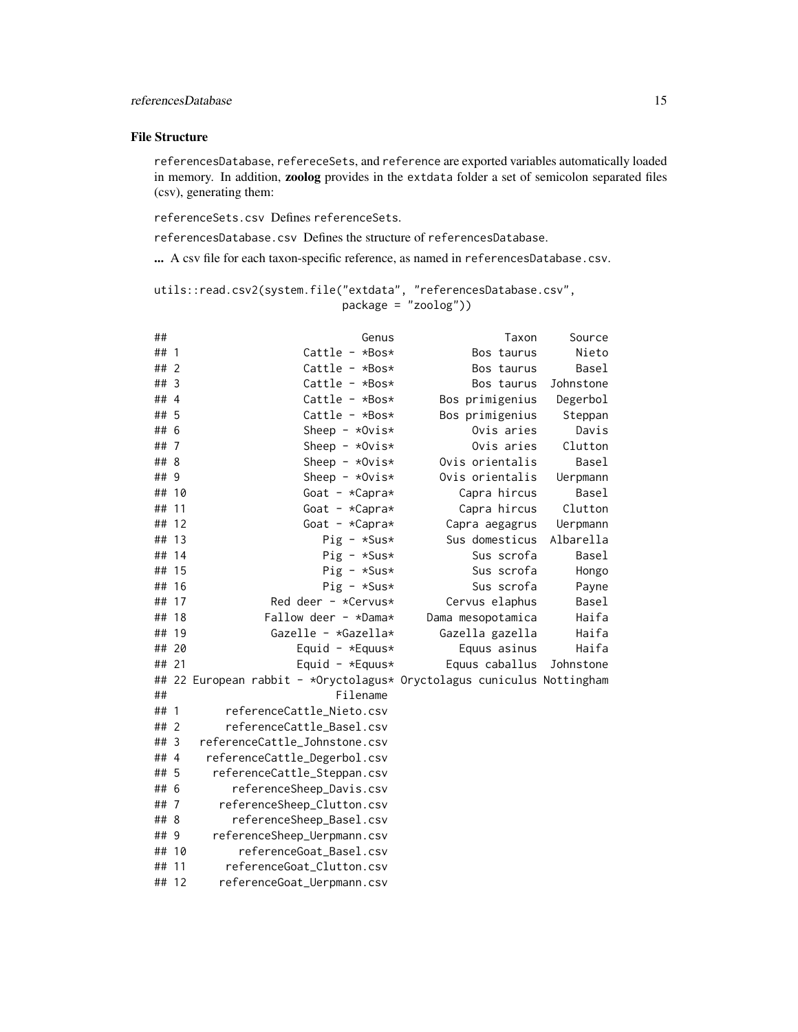#### File Structure

referencesDatabase, refereceSets, and reference are exported variables automatically loaded in memory. In addition, zoolog provides in the extdata folder a set of semicolon separated files (csv), generating them:

referenceSets.csv Defines referenceSets.

referencesDatabase.csv Defines the structure of referencesDatabase.

... A csv file for each taxon-specific reference, as named in referencesDatabase.csv.

```
utils::read.csv2(system.file("extdata", "referencesDatabase.csv",
                            package = "zoolog"))
```

| ##    |                | Genus                                                                                                                                           | Taxon             | Source    |
|-------|----------------|-------------------------------------------------------------------------------------------------------------------------------------------------|-------------------|-----------|
| ##    | $\mathbf{1}$   | Cattle - *Bos*                                                                                                                                  | Bos taurus        | Nieto     |
| ##    | $\overline{2}$ | Cattle - $*Bos*$                                                                                                                                | Bos taurus        | Basel     |
| ##    | $\overline{3}$ | Cattle - $*Bos*$                                                                                                                                | Bos taurus        | Johnstone |
| ##4   |                | Cattle - $*Bos*$                                                                                                                                | Bos primigenius   | Degerbol  |
| ## 5  |                | Cattle - $*Bos*$                                                                                                                                | Bos primigenius   | Steppan   |
| ## 6  |                | Sheep - $*Ovis*$                                                                                                                                | Ovis aries        | Davis     |
| ##7   |                | Sheep - $*0vis*$                                                                                                                                | Ovis aries        | Clutton   |
| ## 8  |                | Sheep - $*Ovis*$                                                                                                                                | Ovis orientalis   | Basel     |
| ## 9  |                | Sheep - $*Ovis*$                                                                                                                                | Ovis orientalis   | Uerpmann  |
| ## 10 |                | Goat - $*Capra*$                                                                                                                                | Capra hircus      | Basel     |
| ##    | 11             | Goat - $*Capra*$                                                                                                                                | Capra hircus      | Clutton   |
| ##    | 12             | Goat - $*Capra*$                                                                                                                                | Capra aegagrus    | Uerpmann  |
| ## 13 |                | $Pig - *Sus*$                                                                                                                                   | Sus domesticus    | Albarella |
|       | ## 14          | $Pig - *Sus*$                                                                                                                                   | Sus scrofa        | Basel     |
|       | ## 15          | $Pig - *Sus*$                                                                                                                                   | Sus scrofa        | Hongo     |
| ##    | 16             | $Pig - *Sus*$                                                                                                                                   | Sus scrofa        | Payne     |
| ## 17 |                | Red deer - *Cervus*                                                                                                                             | Cervus elaphus    | Basel     |
| ##    | 18             | Fallow deer $-$ *Dama*                                                                                                                          | Dama mesopotamica | Haifa     |
| ##    | 19             | Gazelle - *Gazella*                                                                                                                             | Gazella gazella   | Haifa     |
| ## 20 |                | Equid - *Equus*                                                                                                                                 | Equus asinus      | Haifa     |
| ## 21 |                | Equid - *Equus*                                                                                                                                 | Equus caballus    | Johnstone |
| ##    |                | 22 European rabbit - *Oryctolagus* Oryctolagus cuniculus Nottingham                                                                             |                   |           |
| ##    |                | Filename                                                                                                                                        |                   |           |
| ##    | $\overline{1}$ | referenceCattle_Nieto.csv                                                                                                                       |                   |           |
| ##    | $\overline{2}$ | referenceCattle_Basel.csv                                                                                                                       |                   |           |
| ## 3  |                | referenceCattle_Johnstone.csv                                                                                                                   |                   |           |
| ##4   |                | referenceCattle_Degerbol.csv                                                                                                                    |                   |           |
| ##    | 5              | referenceCattle_Steppan.csv                                                                                                                     |                   |           |
| ## 6  |                |                                                                                                                                                 |                   |           |
| ##    | -7             |                                                                                                                                                 |                   |           |
| ##    | -8             |                                                                                                                                                 |                   |           |
| ##    | 9              |                                                                                                                                                 |                   |           |
| ##    | -10            | referenceGoat_Basel.csv                                                                                                                         |                   |           |
| ##    | 11             | referenceGoat_Clutton.csv                                                                                                                       |                   |           |
|       | ## 12          |                                                                                                                                                 |                   |           |
|       |                | referenceSheep_Davis.csv<br>referenceSheep_Clutton.csv<br>referenceSheep_Basel.csv<br>referenceSheep_Uerpmann.csv<br>referenceGoat_Uerpmann.csv |                   |           |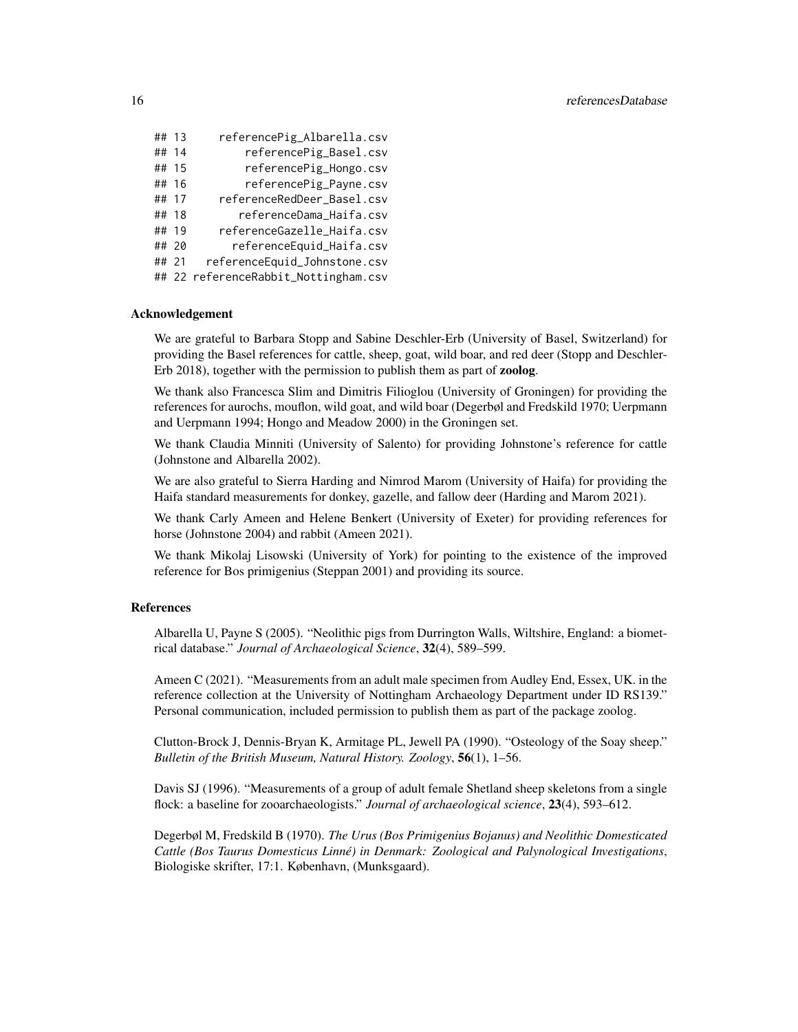| ## 13 | referencePig_Albarella.csv           |
|-------|--------------------------------------|
| ## 14 | referencePig_Basel.csv               |
| ## 15 | referencePig_Hongo.csv               |
| ## 16 | referencePig_Payne.csv               |
| ## 17 | referenceRedDeer_Basel.csv           |
| ## 18 | referenceDama_Haifa.csv              |
| ## 19 | referenceGazelle_Haifa.csv           |
| ## 20 | referenceEquid_Haifa.csv             |
| ## 21 | referenceEquid_Johnstone.csv         |
|       | ## 22 referenceRabbit_Nottingham.csv |

#### Acknowledgement

We are grateful to Barbara Stopp and Sabine Deschler-Erb (University of Basel, Switzerland) for providing the Basel references for cattle, sheep, goat, wild boar, and red deer (Stopp and Deschler-Erb 2018), together with the permission to publish them as part of zoolog.

We thank also Francesca Slim and Dimitris Filioglou (University of Groningen) for providing the references for aurochs, mouflon, wild goat, and wild boar (Degerbøl and Fredskild 1970; Uerpmann and Uerpmann 1994; Hongo and Meadow 2000) in the Groningen set.

We thank Claudia Minniti (University of Salento) for providing Johnstone's reference for cattle (Johnstone and Albarella 2002).

We are also grateful to Sierra Harding and Nimrod Marom (University of Haifa) for providing the Haifa standard measurements for donkey, gazelle, and fallow deer (Harding and Marom 2021).

We thank Carly Ameen and Helene Benkert (University of Exeter) for providing references for horse (Johnstone 2004) and rabbit (Ameen 2021).

We thank Mikolaj Lisowski (University of York) for pointing to the existence of the improved reference for Bos primigenius (Steppan 2001) and providing its source.

#### References

Albarella U, Payne S (2005). "Neolithic pigs from Durrington Walls, Wiltshire, England: a biometrical database." *Journal of Archaeological Science*, 32(4), 589–599.

Ameen C (2021). "Measurements from an adult male specimen from Audley End, Essex, UK. in the reference collection at the University of Nottingham Archaeology Department under ID RS139." Personal communication, included permission to publish them as part of the package zoolog.

Clutton-Brock J, Dennis-Bryan K, Armitage PL, Jewell PA (1990). "Osteology of the Soay sheep." *Bulletin of the British Museum, Natural History. Zoology*, 56(1), 1–56.

Davis SJ (1996). "Measurements of a group of adult female Shetland sheep skeletons from a single flock: a baseline for zooarchaeologists." *Journal of archaeological science*, 23(4), 593–612.

Degerbøl M, Fredskild B (1970). *The Urus (Bos Primigenius Bojanus) and Neolithic Domesticated Cattle (Bos Taurus Domesticus Linné) in Denmark: Zoological and Palynological Investigations*, Biologiske skrifter, 17:1. København, (Munksgaard).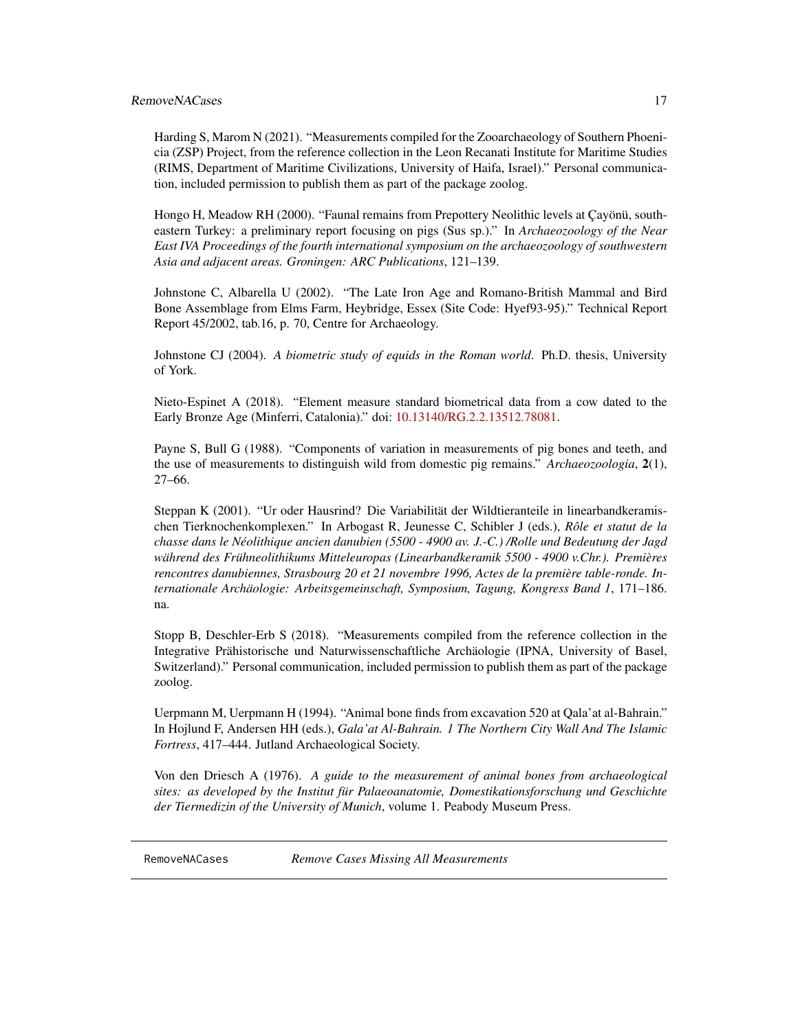#### <span id="page-16-0"></span>RemoveNACases 17

Harding S, Marom N (2021). "Measurements compiled for the Zooarchaeology of Southern Phoenicia (ZSP) Project, from the reference collection in the Leon Recanati Institute for Maritime Studies (RIMS, Department of Maritime Civilizations, University of Haifa, Israel)." Personal communication, included permission to publish them as part of the package zoolog.

Hongo H, Meadow RH (2000). "Faunal remains from Prepottery Neolithic levels at Çayönü, southeastern Turkey: a preliminary report focusing on pigs (Sus sp.)." In *Archaeozoology of the Near East IVA Proceedings of the fourth international symposium on the archaeozoology of southwestern Asia and adjacent areas. Groningen: ARC Publications*, 121–139.

Johnstone C, Albarella U (2002). "The Late Iron Age and Romano-British Mammal and Bird Bone Assemblage from Elms Farm, Heybridge, Essex (Site Code: Hyef93-95)." Technical Report Report 45/2002, tab.16, p. 70, Centre for Archaeology.

Johnstone CJ (2004). *A biometric study of equids in the Roman world*. Ph.D. thesis, University of York.

Nieto-Espinet A (2018). "Element measure standard biometrical data from a cow dated to the Early Bronze Age (Minferri, Catalonia)." doi: [10.13140/RG.2.2.13512.78081.](https://doi.org/10.13140/RG.2.2.13512.78081)

Payne S, Bull G (1988). "Components of variation in measurements of pig bones and teeth, and the use of measurements to distinguish wild from domestic pig remains." *Archaeozoologia*, 2(1), 27–66.

Steppan K (2001). "Ur oder Hausrind? Die Variabilität der Wildtieranteile in linearbandkeramischen Tierknochenkomplexen." In Arbogast R, Jeunesse C, Schibler J (eds.), *Rôle et statut de la chasse dans le Néolithique ancien danubien (5500 - 4900 av. J.-C.) /Rolle und Bedeutung der Jagd während des Frühneolithikums Mitteleuropas (Linearbandkeramik 5500 - 4900 v.Chr.). Premières rencontres danubiennes, Strasbourg 20 et 21 novembre 1996, Actes de la première table-ronde. Internationale Archäologie: Arbeitsgemeinschaft, Symposium, Tagung, Kongress Band 1*, 171–186. na.

Stopp B, Deschler-Erb S (2018). "Measurements compiled from the reference collection in the Integrative Prähistorische und Naturwissenschaftliche Archäologie (IPNA, University of Basel, Switzerland)." Personal communication, included permission to publish them as part of the package zoolog.

Uerpmann M, Uerpmann H (1994). "Animal bone finds from excavation 520 at Qala'at al-Bahrain." In Hojlund F, Andersen HH (eds.), *Gala'at Al-Bahrain. 1 The Northern City Wall And The Islamic Fortress*, 417–444. Jutland Archaeological Society.

Von den Driesch A (1976). *A guide to the measurement of animal bones from archaeological sites: as developed by the Institut für Palaeoanatomie, Domestikationsforschung und Geschichte der Tiermedizin of the University of Munich*, volume 1. Peabody Museum Press.

RemoveNACases *Remove Cases Missing All Measurements*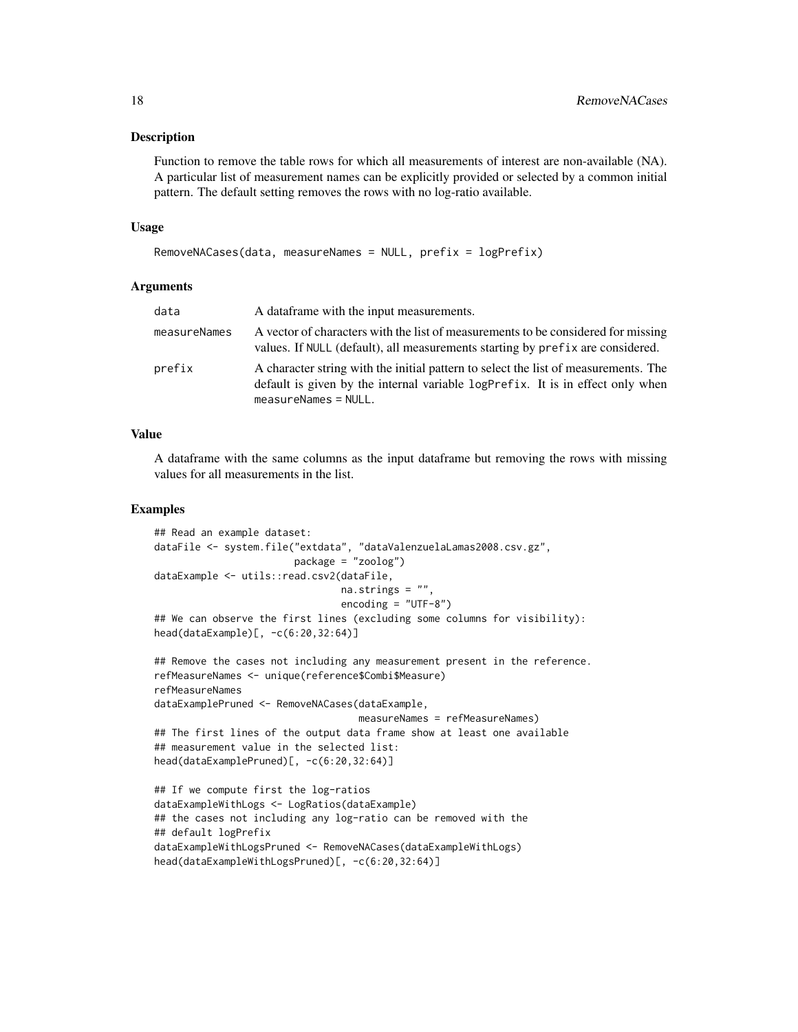#### Description

Function to remove the table rows for which all measurements of interest are non-available (NA). A particular list of measurement names can be explicitly provided or selected by a common initial pattern. The default setting removes the rows with no log-ratio available.

#### Usage

```
RemoveNACases(data, measureNames = NULL, prefix = logPrefix)
```
#### Arguments

| data         | A dataframe with the input measurements.                                                                                                                                                      |
|--------------|-----------------------------------------------------------------------------------------------------------------------------------------------------------------------------------------------|
| measureNames | A vector of characters with the list of measurements to be considered for missing<br>values. If NULL (default), all measurements starting by prefix are considered.                           |
| prefix       | A character string with the initial pattern to select the list of measurements. The<br>default is given by the internal variable logPrefix. It is in effect only when<br>$measurable$ = NULL. |

#### Value

A dataframe with the same columns as the input dataframe but removing the rows with missing values for all measurements in the list.

#### Examples

```
## Read an example dataset:
dataFile <- system.file("extdata", "dataValenzuelaLamas2008.csv.gz",
                       package = "zoolog")
dataExample <- utils::read.csv2(dataFile,
                                na.strings = ".
                                encoding = "UTF-8")
## We can observe the first lines (excluding some columns for visibility):
head(dataExample)[, -c(6:20,32:64)]
## Remove the cases not including any measurement present in the reference.
refMeasureNames <- unique(reference$Combi$Measure)
refMeasureNames
dataExamplePruned <- RemoveNACases(dataExample,
                                   measureNames = refMeasureNames)
## The first lines of the output data frame show at least one available
## measurement value in the selected list:
head(dataExamplePruned)[, -c(6:20,32:64)]
## If we compute first the log-ratios
dataExampleWithLogs <- LogRatios(dataExample)
## the cases not including any log-ratio can be removed with the
## default logPrefix
dataExampleWithLogsPruned <- RemoveNACases(dataExampleWithLogs)
```
head(dataExampleWithLogsPruned)[, -c(6:20,32:64)]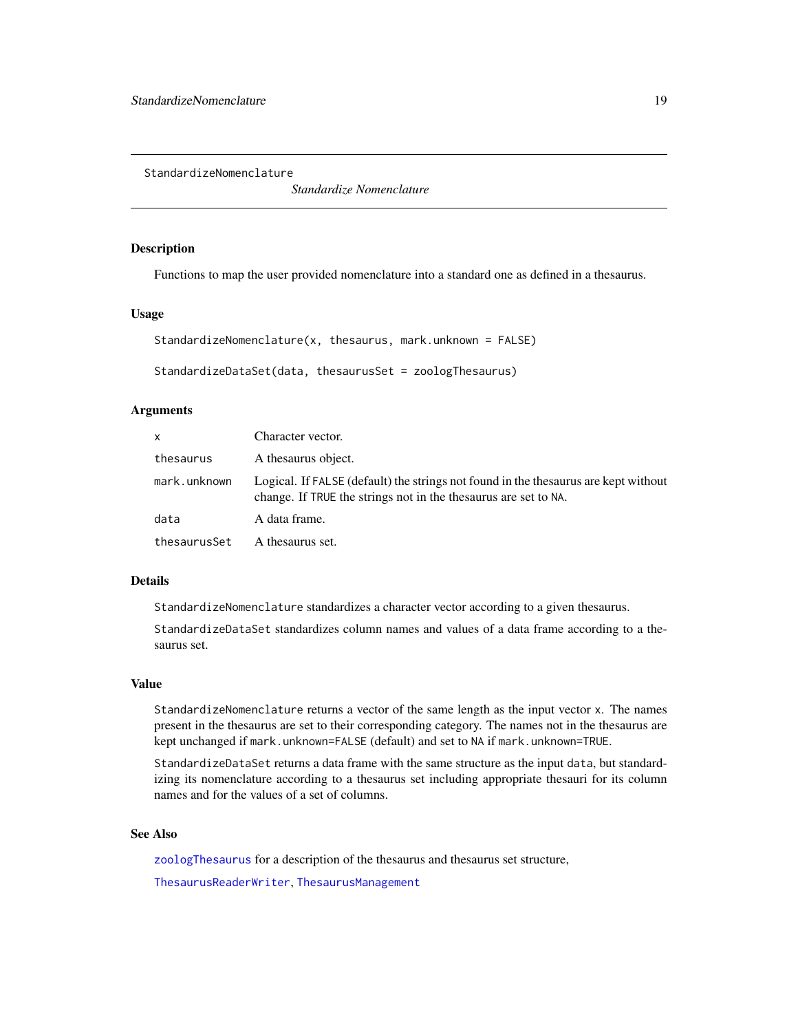<span id="page-18-1"></span><span id="page-18-0"></span>StandardizeNomenclature

*Standardize Nomenclature*

#### Description

Functions to map the user provided nomenclature into a standard one as defined in a thesaurus.

#### Usage

```
StandardizeNomenclature(x, thesaurus, mark.unknown = FALSE)
```

```
StandardizeDataSet(data, thesaurusSet = zoologThesaurus)
```
#### **Arguments**

| x                             | Character vector.                                                                                                                                      |
|-------------------------------|--------------------------------------------------------------------------------------------------------------------------------------------------------|
| thesaurus                     | A thesaurus object.                                                                                                                                    |
| mark.unknown                  | Logical. If FALSE (default) the strings not found in the thesaurus are kept without<br>change. If TRUE the strings not in the thesaurus are set to NA. |
| data                          | A data frame.                                                                                                                                          |
| thesaurusSet A thesaurus set. |                                                                                                                                                        |

#### Details

StandardizeNomenclature standardizes a character vector according to a given thesaurus.

StandardizeDataSet standardizes column names and values of a data frame according to a thesaurus set.

#### Value

StandardizeNomenclature returns a vector of the same length as the input vector x. The names present in the thesaurus are set to their corresponding category. The names not in the thesaurus are kept unchanged if mark.unknown=FALSE (default) and set to NA if mark.unknown=TRUE.

StandardizeDataSet returns a data frame with the same structure as the input data, but standardizing its nomenclature according to a thesaurus set including appropriate thesauri for its column names and for the values of a set of columns.

#### See Also

[zoologThesaurus](#page-25-1) for a description of the thesaurus and thesaurus set structure,

[ThesaurusReaderWriter](#page-23-1), [ThesaurusManagement](#page-21-1)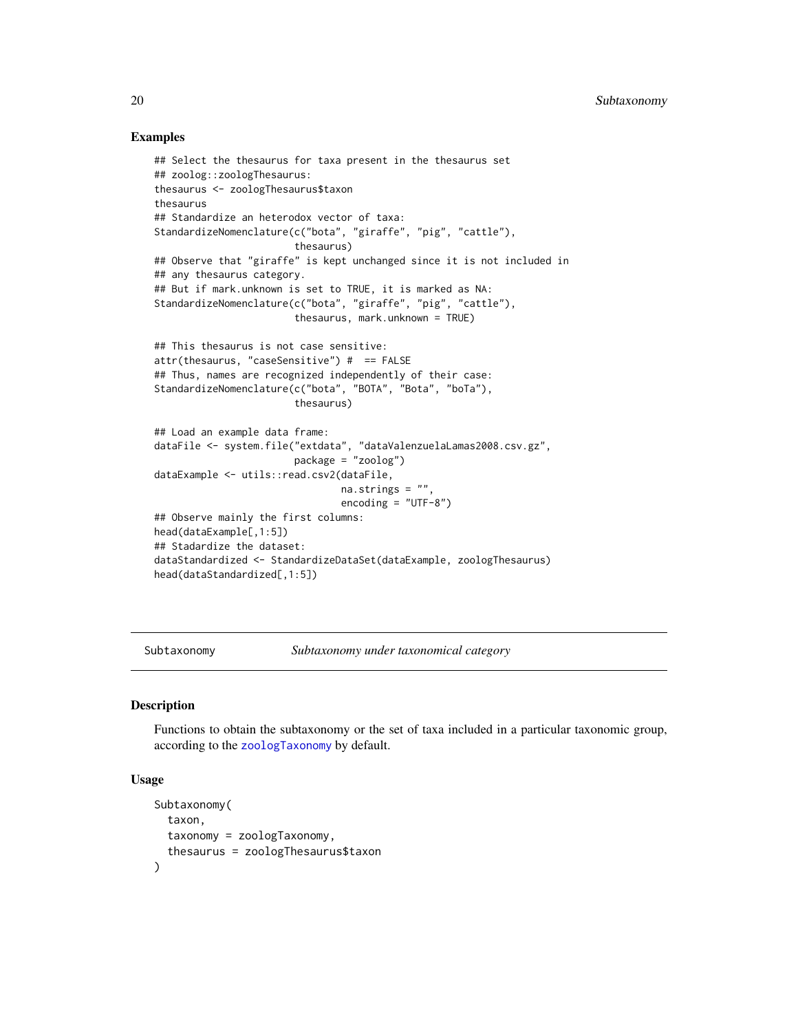#### Examples

```
## Select the thesaurus for taxa present in the thesaurus set
## zoolog::zoologThesaurus:
thesaurus <- zoologThesaurus$taxon
thesaurus
## Standardize an heterodox vector of taxa:
StandardizeNomenclature(c("bota", "giraffe", "pig", "cattle"),
                        thesaurus)
## Observe that "giraffe" is kept unchanged since it is not included in
## any thesaurus category.
## But if mark.unknown is set to TRUE, it is marked as NA:
StandardizeNomenclature(c("bota", "giraffe", "pig", "cattle"),
                        thesaurus, mark.unknown = TRUE)
## This thesaurus is not case sensitive:
attr(thesaurus, "caseSensitive") # == FALSE
## Thus, names are recognized independently of their case:
StandardizeNomenclature(c("bota", "BOTA", "Bota", "boTa"),
                        thesaurus)
## Load an example data frame:
dataFile <- system.file("extdata", "dataValenzuelaLamas2008.csv.gz",
                        package = "zoolog")
dataExample <- utils::read.csv2(dataFile,
                                na.strings = ".
                                encoding = "UTF-8")
## Observe mainly the first columns:
head(dataExample[,1:5])
## Stadardize the dataset:
dataStandardized <- StandardizeDataSet(dataExample, zoologThesaurus)
head(dataStandardized[,1:5])
```
<span id="page-19-2"></span>Subtaxonomy *Subtaxonomy under taxonomical category*

#### <span id="page-19-1"></span>**Description**

Functions to obtain the subtaxonomy or the set of taxa included in a particular taxonomic group, according to the [zoologTaxonomy](#page-24-1) by default.

#### Usage

```
Subtaxonomy(
  taxon,
  taxonomy = zoologTaxonomy,
  thesaurus = zoologThesaurus$taxon
)
```
<span id="page-19-0"></span>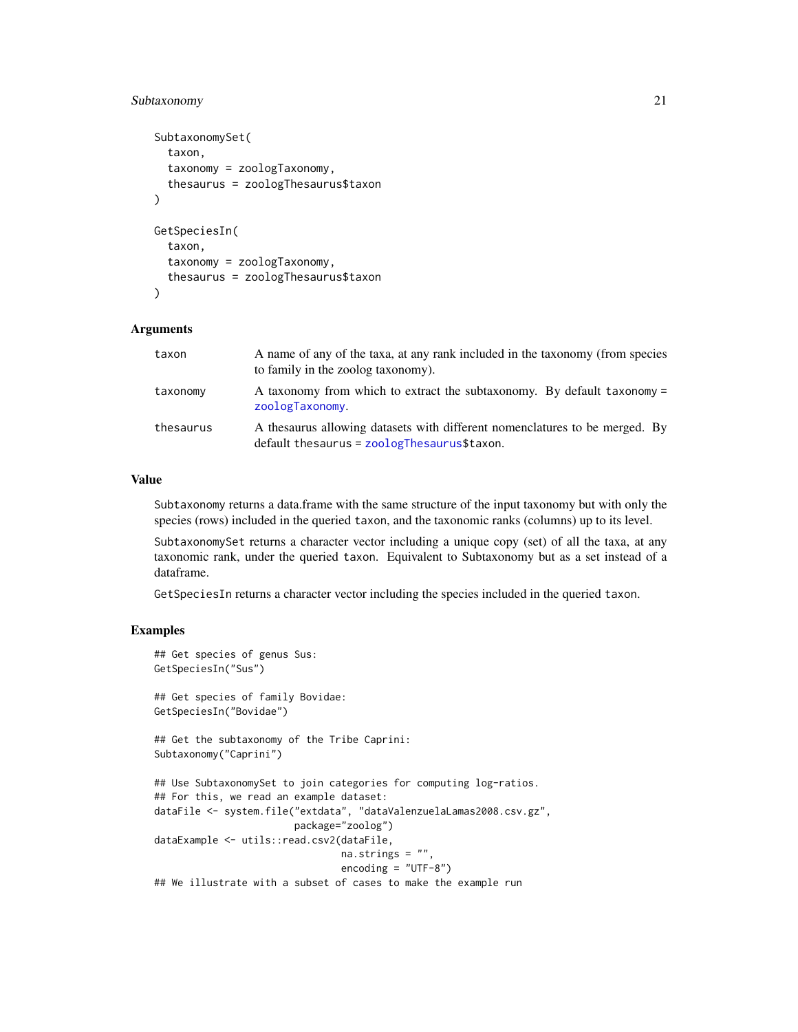#### <span id="page-20-0"></span>Subtaxonomy 21

```
SubtaxonomySet(
  taxon,
  taxonomy = zoologTaxonomy,
  thesaurus = zoologThesaurus$taxon
\lambdaGetSpeciesIn(
  taxon,
  taxonomy = zoologTaxonomy,
  thesaurus = zoologThesaurus$taxon
\lambda
```
#### Arguments

| taxon     | A name of any of the taxa, at any rank included in the taxonomy (from species<br>to family in the zoolog taxonomy).              |
|-----------|----------------------------------------------------------------------------------------------------------------------------------|
| taxonomy  | A taxonomy from which to extract the subtaxonomy. By default taxonomy =<br>zoologTaxonomy.                                       |
| thesaurus | A the saurus allowing datasets with different nomenclatures to be merged. By<br>$default$ thesaurus = $zoolog$ Thesaurus\$taxon. |

#### Value

Subtaxonomy returns a data.frame with the same structure of the input taxonomy but with only the species (rows) included in the queried taxon, and the taxonomic ranks (columns) up to its level.

SubtaxonomySet returns a character vector including a unique copy (set) of all the taxa, at any taxonomic rank, under the queried taxon. Equivalent to Subtaxonomy but as a set instead of a dataframe.

GetSpeciesIn returns a character vector including the species included in the queried taxon.

```
## Get species of genus Sus:
GetSpeciesIn("Sus")
## Get species of family Bovidae:
GetSpeciesIn("Bovidae")
## Get the subtaxonomy of the Tribe Caprini:
Subtaxonomy("Caprini")
## Use SubtaxonomySet to join categories for computing log-ratios.
## For this, we read an example dataset:
dataFile <- system.file("extdata", "dataValenzuelaLamas2008.csv.gz",
                        package="zoolog")
dataExample <- utils::read.csv2(dataFile,
                                na.strings = ",
                                encoding = "UTE-8")## We illustrate with a subset of cases to make the example run
```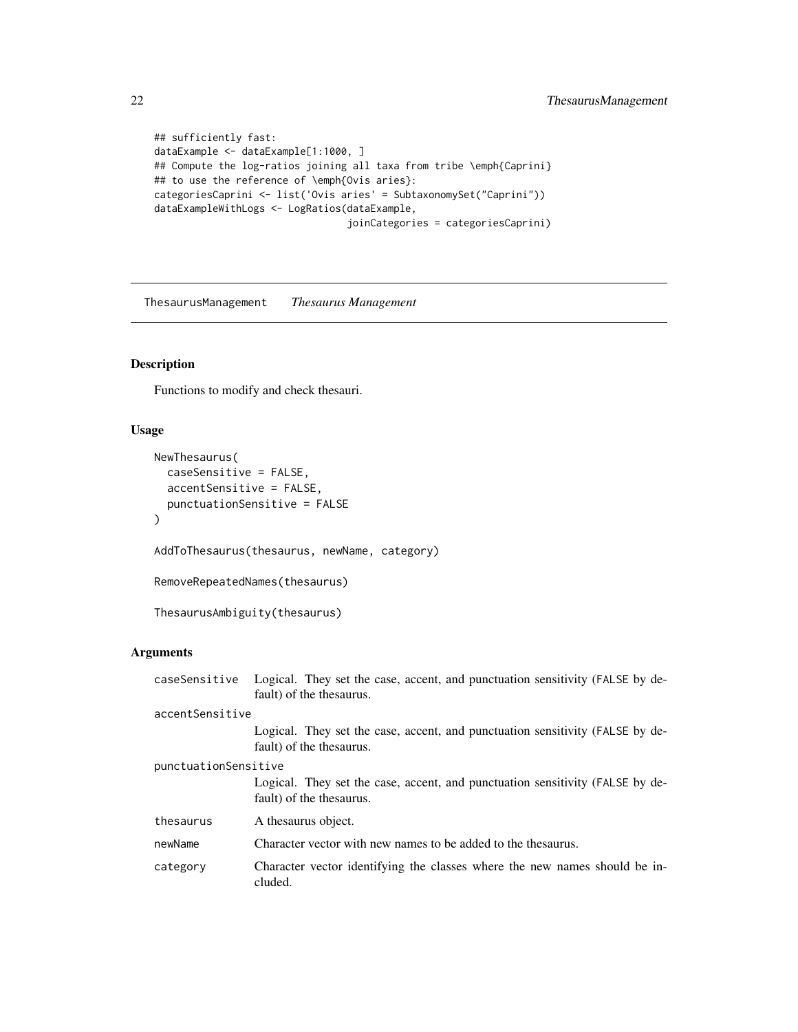```
## sufficiently fast:
dataExample <- dataExample[1:1000, ]
## Compute the log-ratios joining all taxa from tribe \emph{Caprini}
## to use the reference of \emph{Ovis aries}:
categoriesCaprini <- list('Ovis aries' = SubtaxonomySet("Caprini"))
dataExampleWithLogs <- LogRatios(dataExample,
                                 joinCategories = categoriesCaprini)
```
<span id="page-21-1"></span>ThesaurusManagement *Thesaurus Management*

#### <span id="page-21-2"></span>Description

Functions to modify and check thesauri.

#### Usage

```
NewThesaurus(
  caseSensitive = FALSE,
  accentSensitive = FALSE,
 punctuationSensitive = FALSE
)
AddToThesaurus(thesaurus, newName, category)
RemoveRepeatedNames(thesaurus)
ThesaurusAmbiguity(thesaurus)
```
#### Arguments

| caseSensitive        | Logical. They set the case, accent, and punctuation sensitivity (FALSE by de-<br>fault) of the thesaurus. |
|----------------------|-----------------------------------------------------------------------------------------------------------|
| accentSensitive      |                                                                                                           |
|                      | Logical. They set the case, accent, and punctuation sensitivity (FALSE by de-<br>fault) of the thesaurus. |
| punctuationSensitive |                                                                                                           |
|                      | Logical. They set the case, accent, and punctuation sensitivity (FALSE by de-<br>fault) of the thesaurus. |
| thesaurus            | A thesaurus object.                                                                                       |
| newName              | Character vector with new names to be added to the thesaurus.                                             |
| category             | Character vector identifying the classes where the new names should be in-<br>cluded.                     |

<span id="page-21-0"></span>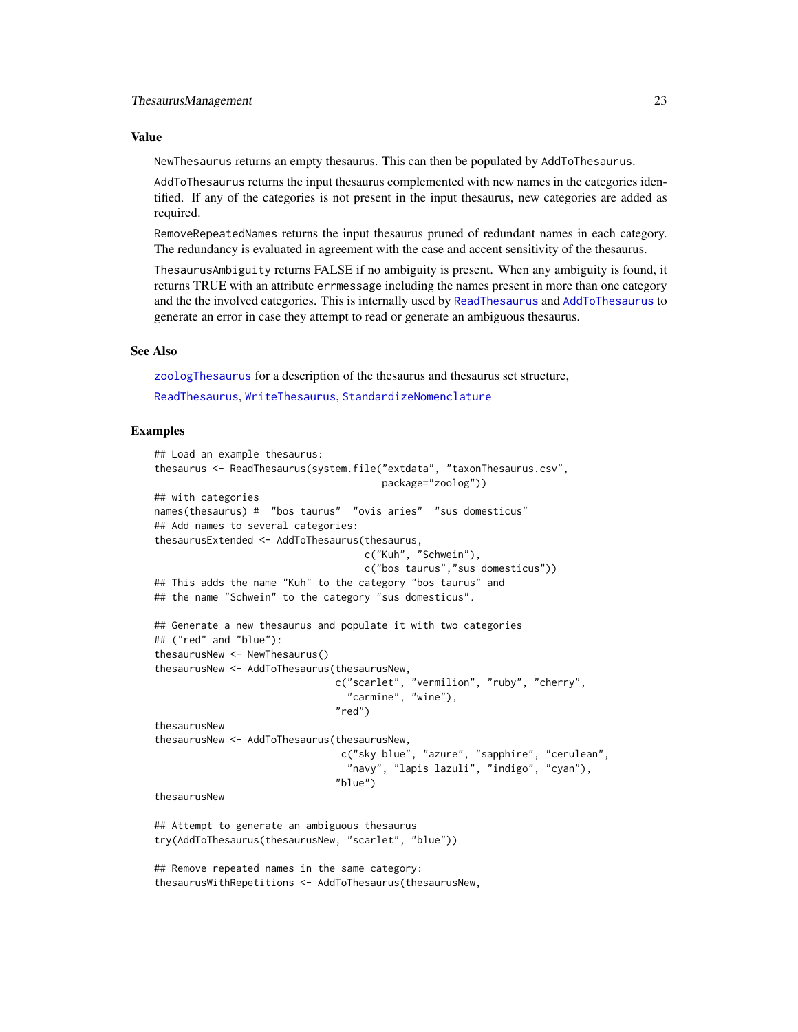#### <span id="page-22-0"></span>Value

NewThesaurus returns an empty thesaurus. This can then be populated by AddToThesaurus.

AddToThesaurus returns the input thesaurus complemented with new names in the categories identified. If any of the categories is not present in the input thesaurus, new categories are added as required.

RemoveRepeatedNames returns the input thesaurus pruned of redundant names in each category. The redundancy is evaluated in agreement with the case and accent sensitivity of the thesaurus.

ThesaurusAmbiguity returns FALSE if no ambiguity is present. When any ambiguity is found, it returns TRUE with an attribute errmessage including the names present in more than one category and the the involved categories. This is internally used by [ReadThesaurus](#page-23-2) and [AddToThesaurus](#page-21-2) to generate an error in case they attempt to read or generate an ambiguous thesaurus.

#### See Also

[zoologThesaurus](#page-25-1) for a description of the thesaurus and thesaurus set structure,

[ReadThesaurus](#page-23-2), [WriteThesaurus](#page-23-2), [StandardizeNomenclature](#page-18-1)

```
## Load an example thesaurus:
thesaurus <- ReadThesaurus(system.file("extdata", "taxonThesaurus.csv",
                                       package="zoolog"))
## with categories
names(thesaurus) # "bos taurus" "ovis aries" "sus domesticus"
## Add names to several categories:
thesaurusExtended <- AddToThesaurus(thesaurus,
                                    c("Kuh", "Schwein"),
                                    c("bos taurus","sus domesticus"))
## This adds the name "Kuh" to the category "bos taurus" and
## the name "Schwein" to the category "sus domesticus".
## Generate a new thesaurus and populate it with two categories
## ("red" and "blue"):
thesaurusNew <- NewThesaurus()
thesaurusNew <- AddToThesaurus(thesaurusNew,
                               c("scarlet", "vermilion", "ruby", "cherry",
                                 "carmine", "wine"),
                               "red")
thesaurusNew
thesaurusNew <- AddToThesaurus(thesaurusNew,
                                c("sky blue", "azure", "sapphire", "cerulean",
                                 "navy", "lapis lazuli", "indigo", "cyan"),
                               "blue")
thesaurusNew
## Attempt to generate an ambiguous thesaurus
try(AddToThesaurus(thesaurusNew, "scarlet", "blue"))
## Remove repeated names in the same category:
```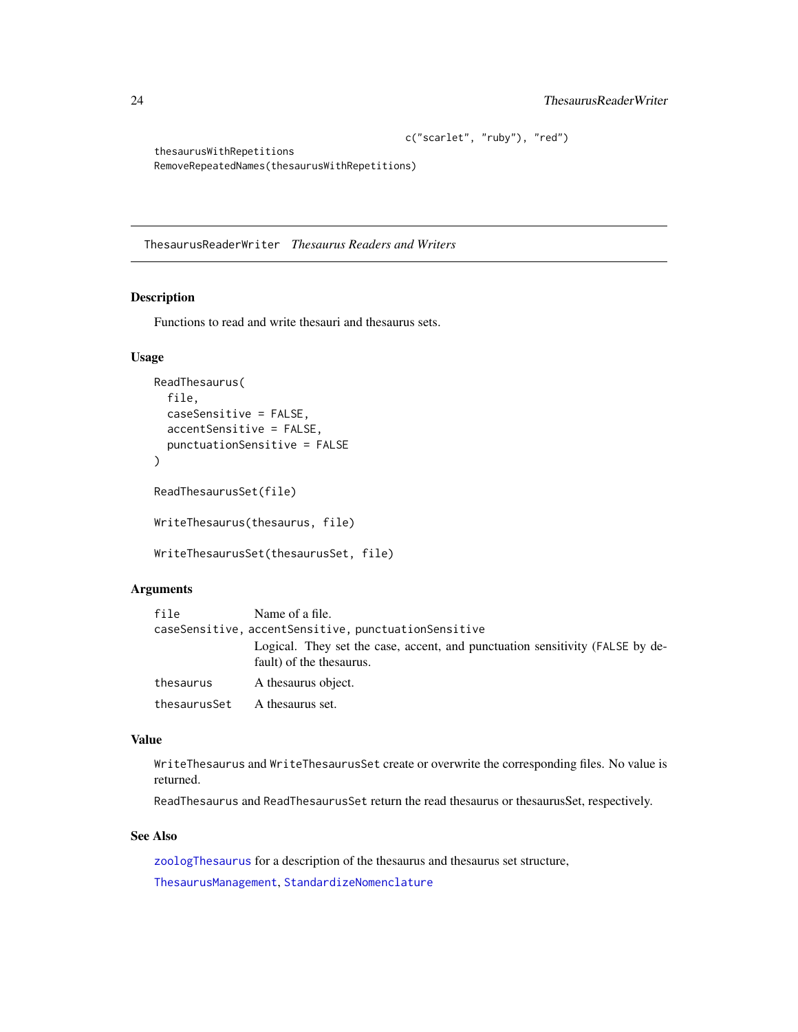```
c("scarlet", "ruby"), "red")
```

```
thesaurusWithRepetitions
RemoveRepeatedNames(thesaurusWithRepetitions)
```
<span id="page-23-1"></span>ThesaurusReaderWriter *Thesaurus Readers and Writers*

#### <span id="page-23-2"></span>Description

Functions to read and write thesauri and thesaurus sets.

#### Usage

```
ReadThesaurus(
  file,
  caseSensitive = FALSE,
  accentSensitive = FALSE,
  punctuationSensitive = FALSE
\mathcal{L}ReadThesaurusSet(file)
WriteThesaurus(thesaurus, file)
```

```
WriteThesaurusSet(thesaurusSet, file)
```
#### Arguments

| file                                                 | Name of a file.                                                                                           |  |  |  |  |
|------------------------------------------------------|-----------------------------------------------------------------------------------------------------------|--|--|--|--|
| caseSensitive, accentSensitive, punctuationSensitive |                                                                                                           |  |  |  |  |
|                                                      | Logical. They set the case, accent, and punctuation sensitivity (FALSE by de-<br>fault) of the thesaurus. |  |  |  |  |
| thesaurus                                            | A thesaurus object.                                                                                       |  |  |  |  |
| thesaurusSet                                         | A thesaurus set.                                                                                          |  |  |  |  |

#### Value

WriteThesaurus and WriteThesaurusSet create or overwrite the corresponding files. No value is returned.

ReadThesaurus and ReadThesaurusSet return the read thesaurus or thesaurusSet, respectively.

#### See Also

[zoologThesaurus](#page-25-1) for a description of the thesaurus and thesaurus set structure, [ThesaurusManagement](#page-21-1), [StandardizeNomenclature](#page-18-1)

<span id="page-23-0"></span>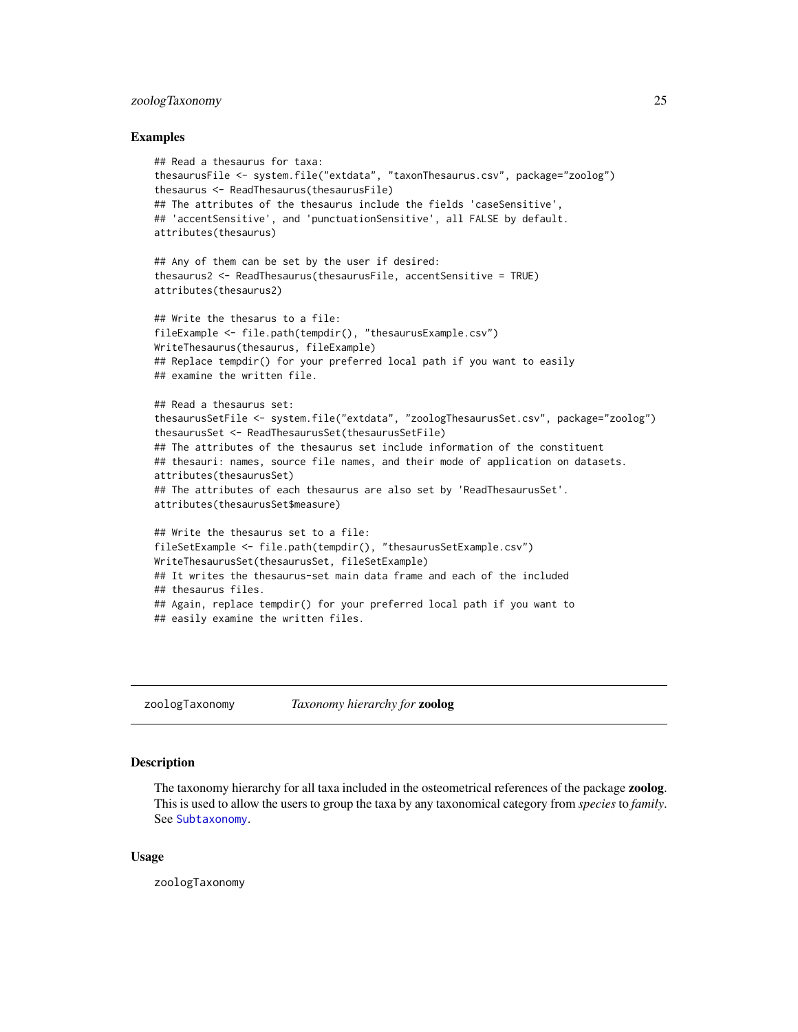#### <span id="page-24-0"></span>zoologTaxonomy 25

#### Examples

```
## Read a thesaurus for taxa:
thesaurusFile <- system.file("extdata", "taxonThesaurus.csv", package="zoolog")
thesaurus <- ReadThesaurus(thesaurusFile)
## The attributes of the thesaurus include the fields 'caseSensitive',
## 'accentSensitive', and 'punctuationSensitive', all FALSE by default.
attributes(thesaurus)
## Any of them can be set by the user if desired:
thesaurus2 <- ReadThesaurus(thesaurusFile, accentSensitive = TRUE)
attributes(thesaurus2)
## Write the thesarus to a file:
fileExample <- file.path(tempdir(), "thesaurusExample.csv")
WriteThesaurus(thesaurus, fileExample)
## Replace tempdir() for your preferred local path if you want to easily
## examine the written file.
## Read a thesaurus set:
thesaurusSetFile <- system.file("extdata", "zoologThesaurusSet.csv", package="zoolog")
thesaurusSet <- ReadThesaurusSet(thesaurusSetFile)
## The attributes of the thesaurus set include information of the constituent
## thesauri: names, source file names, and their mode of application on datasets.
attributes(thesaurusSet)
## The attributes of each thesaurus are also set by 'ReadThesaurusSet'.
attributes(thesaurusSet$measure)
## Write the thesaurus set to a file:
fileSetExample <- file.path(tempdir(), "thesaurusSetExample.csv")
WriteThesaurusSet(thesaurusSet, fileSetExample)
## It writes the thesaurus-set main data frame and each of the included
## thesaurus files.
## Again, replace tempdir() for your preferred local path if you want to
## easily examine the written files.
```
<span id="page-24-1"></span>zoologTaxonomy *Taxonomy hierarchy for* zoolog

#### Description

The taxonomy hierarchy for all taxa included in the osteometrical references of the package zoolog. This is used to allow the users to group the taxa by any taxonomical category from *species* to *family*. See [Subtaxonomy](#page-19-2).

#### Usage

zoologTaxonomy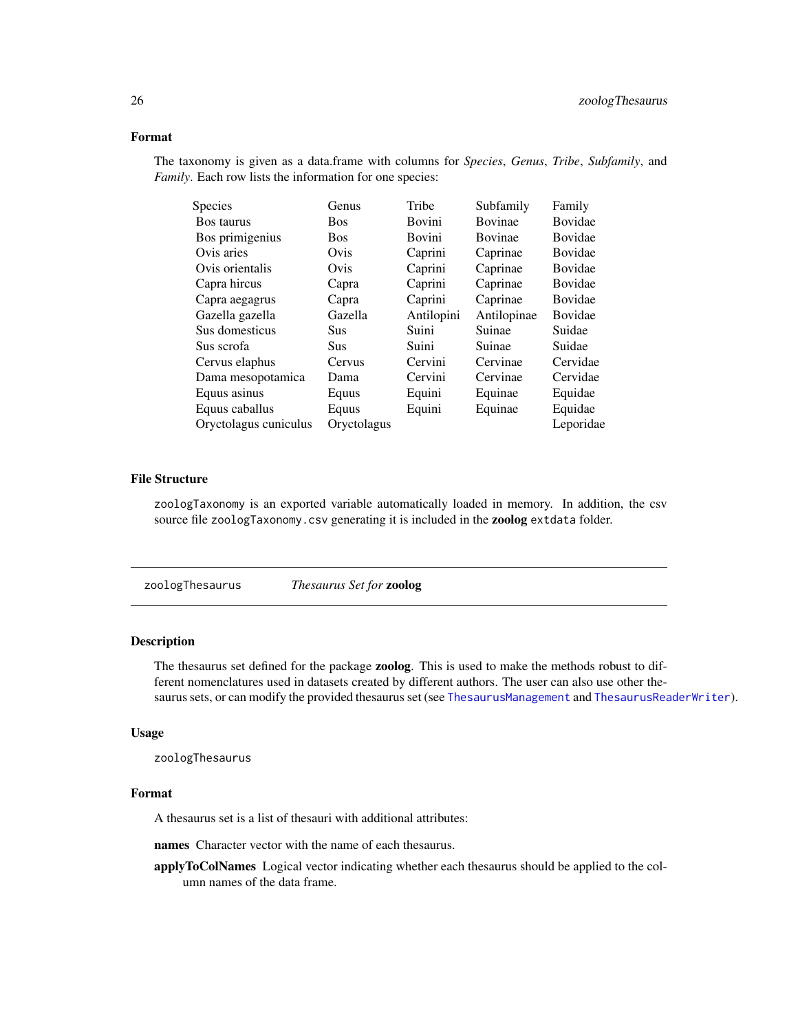#### <span id="page-25-0"></span>Format

The taxonomy is given as a data.frame with columns for *Species*, *Genus*, *Tribe*, *Subfamily*, and *Family*. Each row lists the information for one species:

| <b>Species</b>        | Genus       | Tribe         | Subfamily      | Family         |
|-----------------------|-------------|---------------|----------------|----------------|
| <b>Bos taurus</b>     | <b>Bos</b>  | <b>Bovini</b> | <b>Bovinae</b> | <b>Bovidae</b> |
| Bos primigenius       | <b>Bos</b>  | Bovini        | Bovinae        | Bovidae        |
| Ovis aries            | Ovis        | Caprini       | Caprinae       | Bovidae        |
| Ovis orientalis       | Ovis        | Caprini       | Caprinae       | Bovidae        |
| Capra hircus          | Capra       | Caprini       | Caprinae       | Bovidae        |
| Capra aegagrus        | Capra       | Caprini       | Caprinae       | <b>Bovidae</b> |
| Gazella gazella       | Gazella     | Antilopini    | Antilopinae    | <b>Bovidae</b> |
| Sus domesticus        | Sus         | Suini         | Suinae         | Suidae         |
| Sus scrofa            | Sus         | Suini         | Suinae         | Suidae         |
| Cervus elaphus        | Cervus      | Cervini       | Cervinae       | Cervidae       |
| Dama mesopotamica     | Dama        | Cervini       | Cervinae       | Cervidae       |
| Equus asinus          | Equus       | Equini        | Equinae        | Equidae        |
| Equus caballus        | Equus       | Equini        | Equinae        | Equidae        |
| Oryctolagus cuniculus | Oryctolagus |               |                | Leporidae      |

#### File Structure

zoologTaxonomy is an exported variable automatically loaded in memory. In addition, the csv source file zoologTaxonomy.csv generating it is included in the zoolog extdata folder.

<span id="page-25-1"></span>zoologThesaurus *Thesaurus Set for* zoolog

#### Description

The thesaurus set defined for the package zoolog. This is used to make the methods robust to different nomenclatures used in datasets created by different authors. The user can also use other thesaurus sets, or can modify the provided thesaurus set (see [ThesaurusManagement](#page-21-1) and [ThesaurusReaderWriter](#page-23-1)).

#### Usage

zoologThesaurus

#### Format

A thesaurus set is a list of thesauri with additional attributes:

names Character vector with the name of each thesaurus.

applyToColNames Logical vector indicating whether each thesaurus should be applied to the column names of the data frame.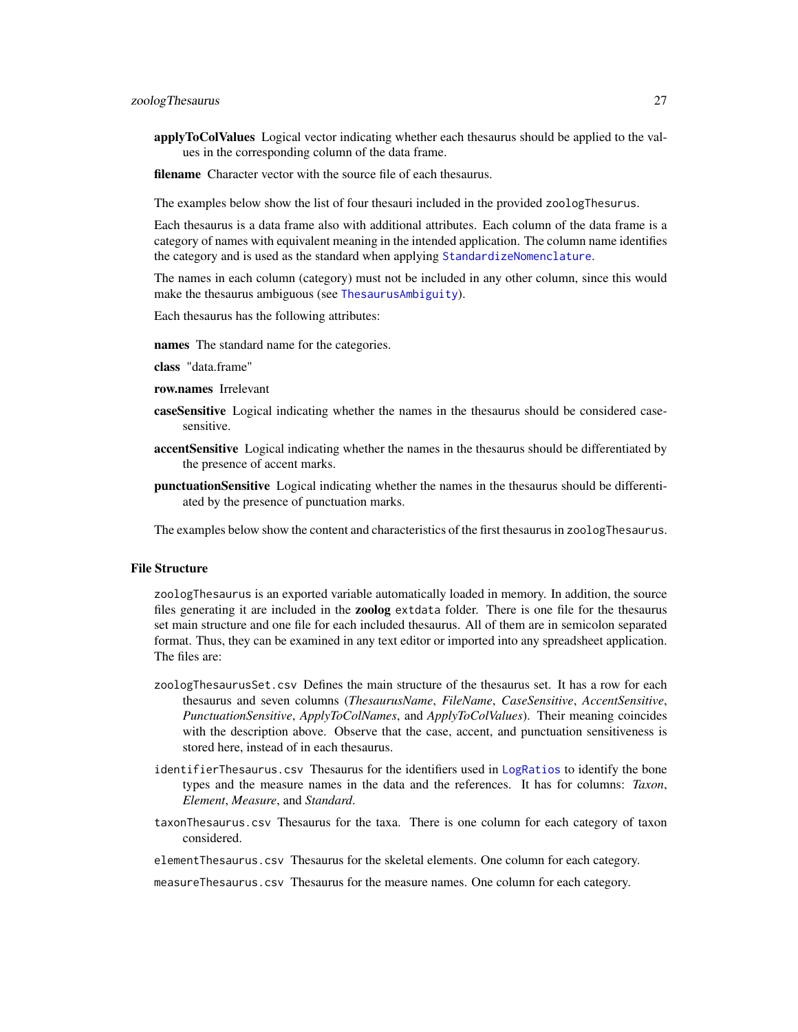<span id="page-26-0"></span>applyToColValues Logical vector indicating whether each thesaurus should be applied to the values in the corresponding column of the data frame.

**filename** Character vector with the source file of each thesaurus.

The examples below show the list of four thesauri included in the provided zoologThesurus.

Each thesaurus is a data frame also with additional attributes. Each column of the data frame is a category of names with equivalent meaning in the intended application. The column name identifies the category and is used as the standard when applying [StandardizeNomenclature](#page-18-1).

The names in each column (category) must not be included in any other column, since this would make the thesaurus ambiguous (see [ThesaurusAmbiguity](#page-21-2)).

Each thesaurus has the following attributes:

names The standard name for the categories.

class "data.frame"

- row.names Irrelevant
- caseSensitive Logical indicating whether the names in the thesaurus should be considered casesensitive.
- accentSensitive Logical indicating whether the names in the thesaurus should be differentiated by the presence of accent marks.
- punctuationSensitive Logical indicating whether the names in the thesaurus should be differentiated by the presence of punctuation marks.

The examples below show the content and characteristics of the first thesaurus in zoologThesaurus.

#### File Structure

zoologThesaurus is an exported variable automatically loaded in memory. In addition, the source files generating it are included in the zoolog extdata folder. There is one file for the thesaurus set main structure and one file for each included thesaurus. All of them are in semicolon separated format. Thus, they can be examined in any text editor or imported into any spreadsheet application. The files are:

- zoologThesaurusSet.csv Defines the main structure of the thesaurus set. It has a row for each thesaurus and seven columns (*ThesaurusName*, *FileName*, *CaseSensitive*, *AccentSensitive*, *PunctuationSensitive*, *ApplyToColNames*, and *ApplyToColValues*). Their meaning coincides with the description above. Observe that the case, accent, and punctuation sensitiveness is stored here, instead of in each thesaurus.
- identifierThesaurus.csv Thesaurus for the identifiers used in [LogRatios](#page-7-1) to identify the bone types and the measure names in the data and the references. It has for columns: *Taxon*, *Element*, *Measure*, and *Standard*.
- taxonThesaurus.csv Thesaurus for the taxa. There is one column for each category of taxon considered.

elementThesaurus.csv Thesaurus for the skeletal elements. One column for each category.

measureThesaurus.csv Thesaurus for the measure names. One column for each category.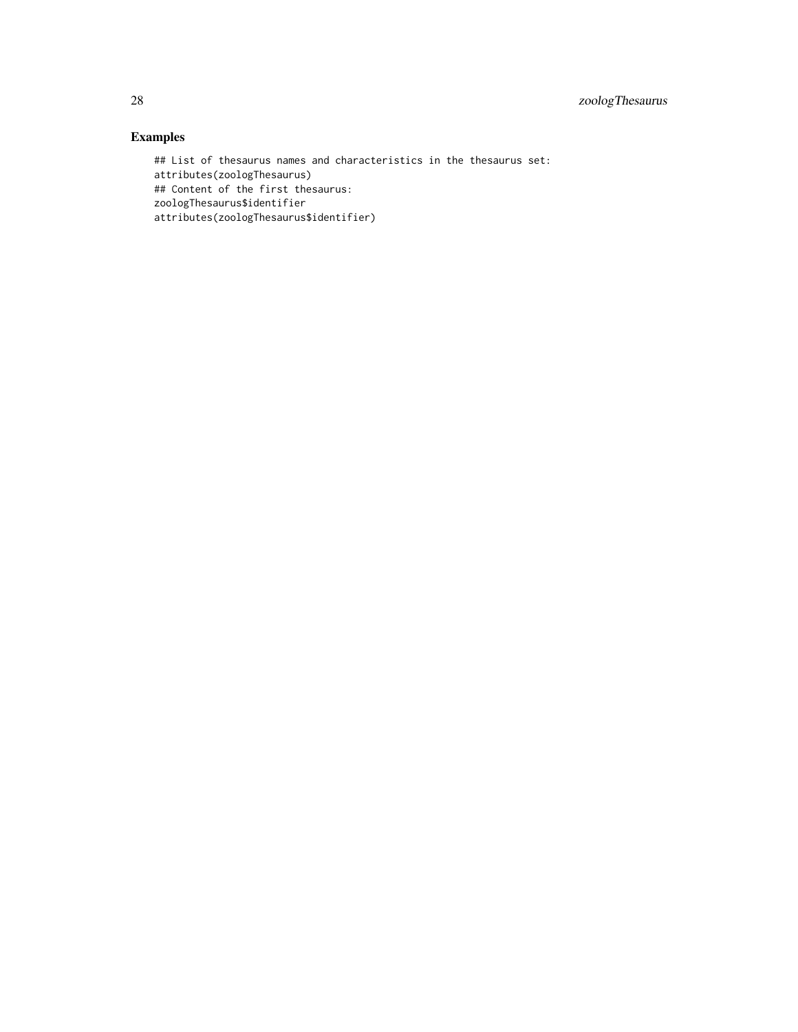#### Examples

## List of thesaurus names and characteristics in the thesaurus set: attributes(zoologThesaurus) ## Content of the first thesaurus: zoologThesaurus\$identifier attributes(zoologThesaurus\$identifier)